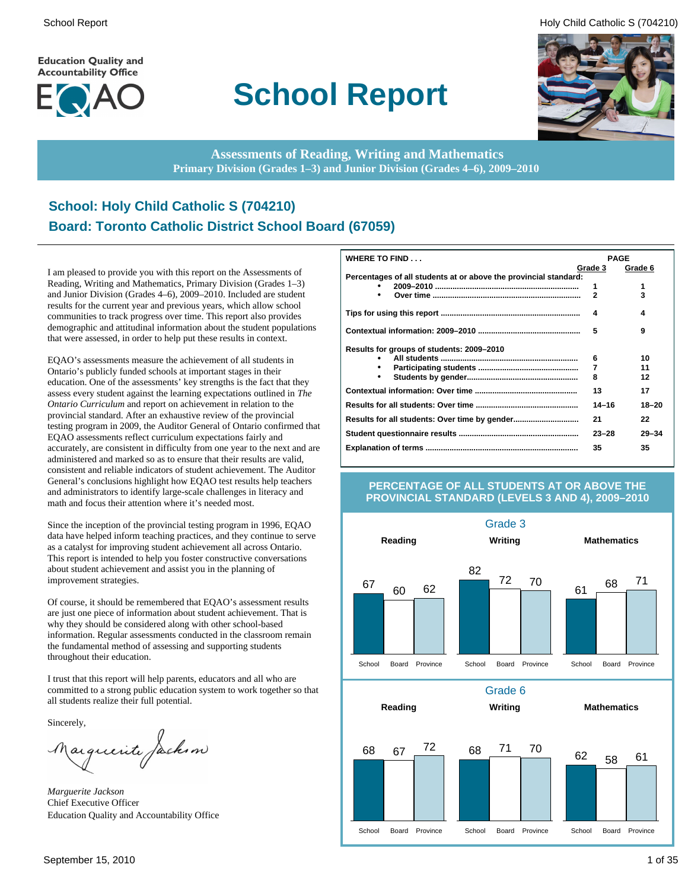**Education Quality and Accountability Office** 



# **School Report**

School Report **Example 2** and the set of the set of the set of the set of the set of the set of the set of the set of the set of the set of the set of the set of the set of the set of the set of the set of the set of the s



**Assessments of Reading, Writing and Mathematics Primary Division (Grades 1–3) and Junior Division (Grades 4–6), 2009–2010**

### **School: Holy Child Catholic S (704210) Board: Toronto Catholic District School Board (67059)**

I am pleased to provide you with this report on the Assessments of Reading, Writing and Mathematics, Primary Division (Grades 1–3) and Junior Division (Grades 4–6), 2009–2010. Included are student results for the current year and previous years, which allow school communities to track progress over time. This report also provides demographic and attitudinal information about the student populations that were assessed, in order to help put these results in context.

EQAO's assessments measure the achievement of all students in Ontario's publicly funded schools at important stages in their education. One of the assessments' key strengths is the fact that they assess every student against the learning expectations outlined in *The Ontario Curriculum* and report on achievement in relation to the provincial standard. After an exhaustive review of the provincial testing program in 2009, the Auditor General of Ontario confirmed that EQAO assessments reflect curriculum expectations fairly and accurately, are consistent in difficulty from one year to the next and are administered and marked so as to ensure that their results are valid, consistent and reliable indicators of student achievement. The Auditor General's conclusions highlight how EQAO test results help teachers and administrators to identify large-scale challenges in literacy and math and focus their attention where it's needed most.

Since the inception of the provincial testing program in 1996, EQAO data have helped inform teaching practices, and they continue to serve as a catalyst for improving student achievement all across Ontario. This report is intended to help you foster constructive conversations about student achievement and assist you in the planning of improvement strategies.

Of course, it should be remembered that EQAO's assessment results are just one piece of information about student achievement. That is why they should be considered along with other school-based information. Regular assessments conducted in the classroom remain the fundamental method of assessing and supporting students throughout their education.

I trust that this report will help parents, educators and all who are committed to a strong public education system to work together so that all students realize their full potential.

Sincerely,

Marguerite Jackson

*Marguerite Jackson* Chief Executive Officer Education Quality and Accountability Office

| <b>WHERE TO FIND</b>                                             |              | <b>PAGE</b> |
|------------------------------------------------------------------|--------------|-------------|
|                                                                  | Grade 3      | Grade 6     |
| Percentages of all students at or above the provincial standard: |              |             |
|                                                                  | 1            | 1           |
|                                                                  | $\mathbf{2}$ | 3           |
|                                                                  | 4            | 4           |
|                                                                  | 5            | 9           |
| Results for groups of students: 2009–2010                        |              |             |
|                                                                  | 6            | 10          |
|                                                                  | 7            | 11          |
|                                                                  | 8            | 12          |
|                                                                  | 13           | 17          |
|                                                                  | $14 - 16$    | $18 - 20$   |
|                                                                  | 21           | 22          |
|                                                                  | $23 - 28$    | $29 - 34$   |
|                                                                  | 35           | 35          |

#### **PERCENTAGE OF ALL STUDENTS AT OR ABOVE THE PROVINCIAL STANDARD (LEVELS 3 AND 4), 2009–2010**

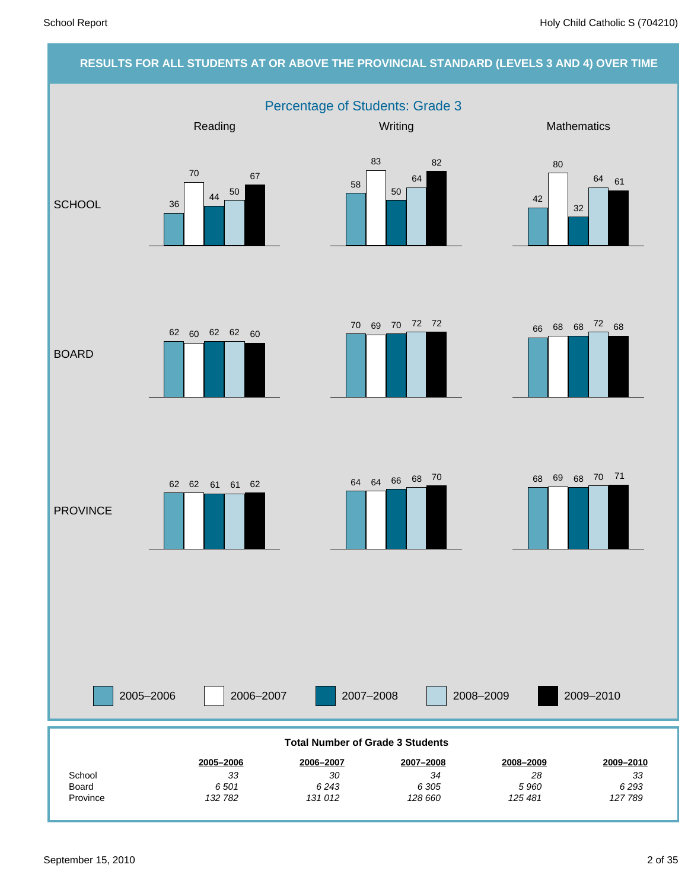#### **RESULTS FOR ALL STUDENTS AT OR ABOVE THE PROVINCIAL STANDARD (LEVELS 3 AND 4) OVER TIME** Percentage of Students: Grade 3 2005–2006 2006–2007 2007–2008 2008–2009 Reading Network Controllery Mathematics Mathematics Mathematics **SCHOOL** BOARD **PROVINCE** 2009–2010 *127 789 6 293 33* **2009–2010** *125 481 5 960 28* **2008–2009** *128 660 6 305 34* **2007–2008** *131 012 6 243 30* **2006–2007** *132 782 6 501 33* **2005–2006** Province Board **School Total Number of Grade 3 Students** 36 70 <sup>44</sup> <sup>50</sup> 67 58 83 50 64 82 42 80 32 64 61 70 69 70 72 72<br>66 68 68 72 68 62 60 62 62 60  $62$   $61$   $61$   $62$   $64$   $64$   $66$   $68$   $70$   $68$   $69$   $68$   $70$   $71$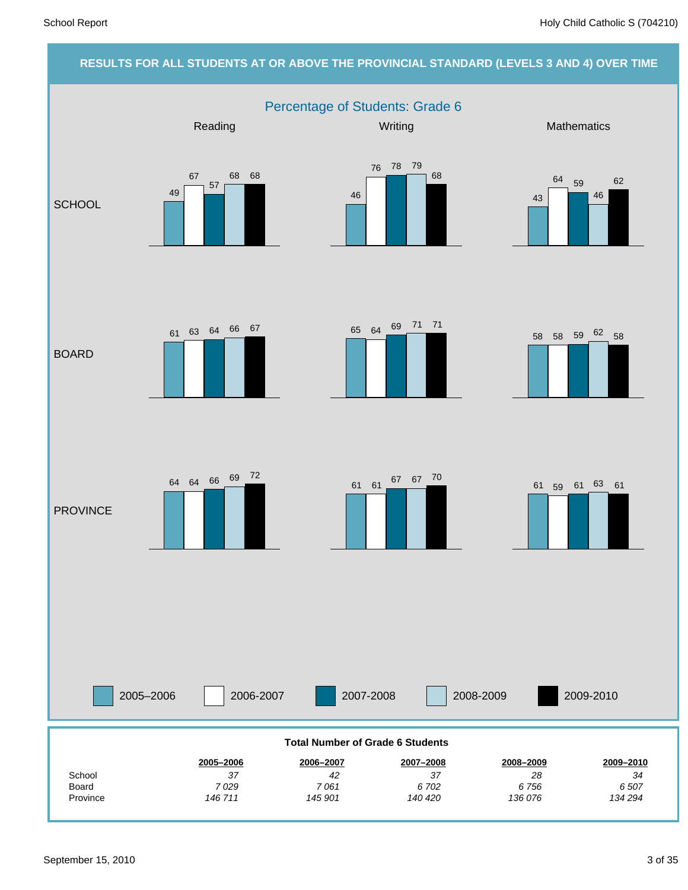#### **RESULTS FOR ALL STUDENTS AT OR ABOVE THE PROVINCIAL STANDARD (LEVELS 3 AND 4) OVER TIME** Percentage of Students: Grade 6 2005–2006 2006-2007 2007-2008 2008-2009 Reading Network Controllery Mathematics Mathematics Mathematics **SCHOOL** BOARD **PROVINCE** 2009-2010 *134 294 6 507 34* **2009–2010** *136 076 6 756 28* **2008–2009** *140 420 6 702 37* **2007–2008** *145 901 7 061 42* **2006–2007** *146 711 7 029 37* **2005–2006** Province Board **School Total Number of Grade 6 Students** 49 67 57 68 68 46 76 78 79 68 43 <sup>64</sup> <sup>59</sup> 46 62  $\frac{65}{2}$  64  $\frac{69}{2}$   $\frac{71}{21}$  71  $\frac{71}{21}$  58 58 59  $\frac{62}{2}$  58 <sup>61</sup> <sup>63</sup> <sup>64</sup> <sup>66</sup> <sup>67</sup> 64 64 66 69 72<br>61 61 67 67 70 61 59 61 63 61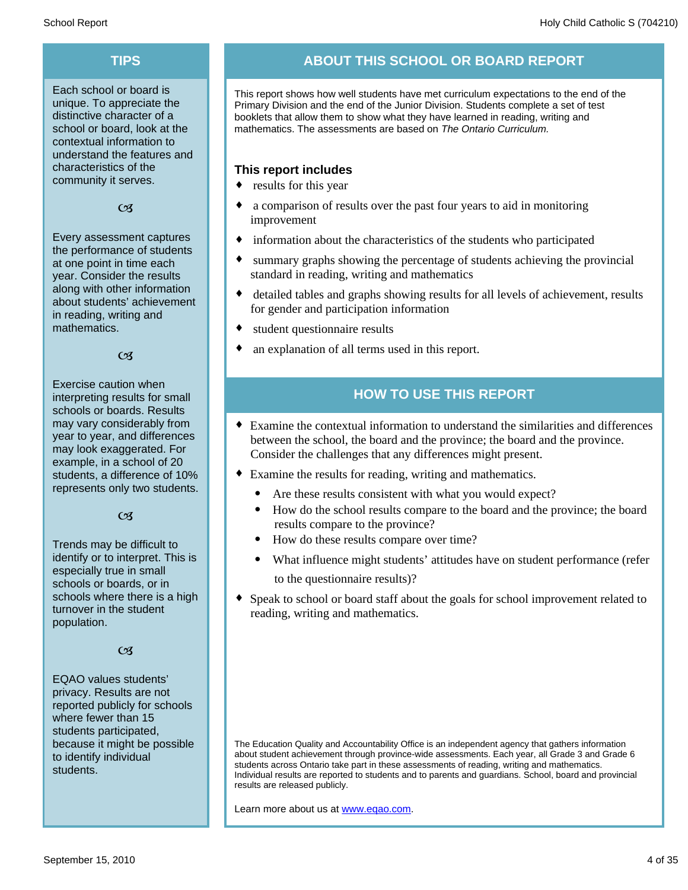Each school or board is unique. To appreciate the distinctive character of a school or board, look at the contextual information to understand the features and characteristics of the community it serves.

#### $C<sub>3</sub>$

Every assessment captures the performance of students at one point in time each year. Consider the results along with other information about students' achievement in reading, writing and mathematics.

#### $\alpha$

Exercise caution when interpreting results for small schools or boards. Results may vary considerably from year to year, and differences may look exaggerated. For example, in a school of 20 students, a difference of 10% represents only two students.

#### $C<sub>3</sub>$

Trends may be difficult to identify or to interpret. This is especially true in small schools or boards, or in schools where there is a high turnover in the student population.

#### $C<sub>3</sub>$

EQAO values students' privacy. Results are not reported publicly for schools where fewer than 15 students participated, because it might be possible to identify individual students.

### **TIPS ABOUT THIS SCHOOL OR BOARD REPORT**

This report shows how well students have met curriculum expectations to the end of the Primary Division and the end of the Junior Division. Students complete a set of test booklets that allow them to show what they have learned in reading, writing and mathematics. The assessments are based on *The Ontario Curriculum.*

#### **This report includes**

- $\bullet$  results for this year
- a comparison of results over the past four years to aid in monitoring improvement
- $\bullet$  information about the characteristics of the students who participated
- summary graphs showing the percentage of students achieving the provincial standard in reading, writing and mathematics
- detailed tables and graphs showing results for all levels of achievement, results for gender and participation information
- student questionnaire results
- an explanation of all terms used in this report.

### **HOW TO USE THIS REPORT**

- ¨ Examine the contextual information to understand the similarities and differences between the school, the board and the province; the board and the province. Consider the challenges that any differences might present.
- Examine the results for reading, writing and mathematics.
	- Are these results consistent with what you would expect?
	- · How do the school results compare to the board and the province; the board results compare to the province?
	- · How do these results compare over time?
	- What influence might students' attitudes have on student performance (refer to the questionnaire results)?
- Speak to school or board staff about the goals for school improvement related to reading, writing and mathematics.

The Education Quality and Accountability Office is an independent agency that gathers information about student achievement through province-wide assessments. Each year, all Grade 3 and Grade 6 students across Ontario take part in these assessments of reading, writing and mathematics. Individual results are reported to students and to parents and guardians. School, board and provincial results are released publicly.

Learn more about us at www.eqao.com.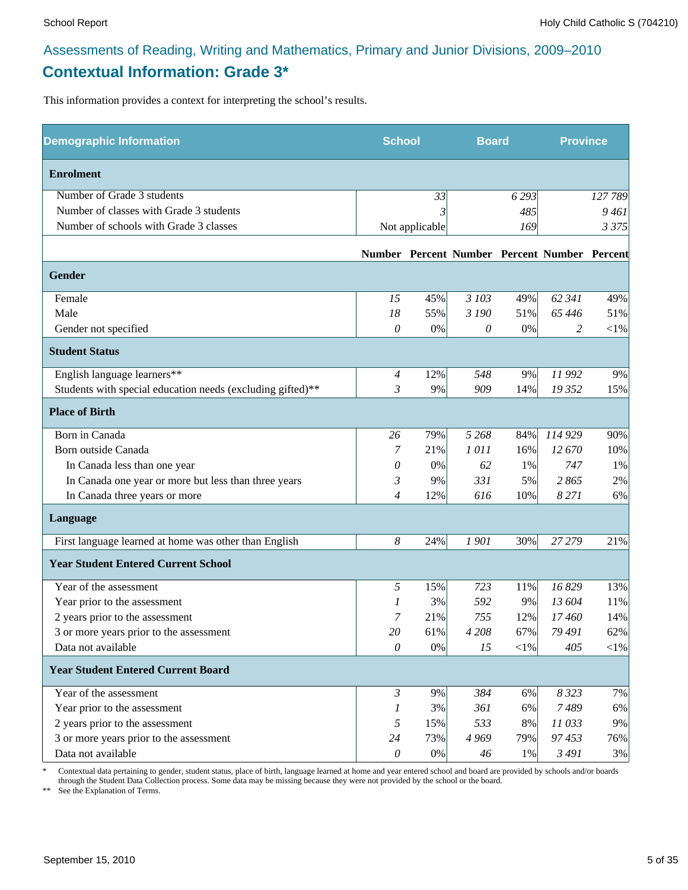### **Contextual Information: Grade 3\***

This information provides a context for interpreting the school's results.

| <b>Demographic Information</b>                             | <b>School</b>    |                | <b>Board</b> |        | <b>Province</b>                              |            |
|------------------------------------------------------------|------------------|----------------|--------------|--------|----------------------------------------------|------------|
| <b>Enrolment</b>                                           |                  |                |              |        |                                              |            |
| Number of Grade 3 students                                 |                  | 33             |              | 6293   |                                              | 127 789    |
| Number of classes with Grade 3 students                    |                  |                |              | 485    |                                              | 9461       |
| Number of schools with Grade 3 classes                     |                  | Not applicable |              | 169    |                                              | 3 3 7 5    |
|                                                            |                  |                |              |        | Number Percent Number Percent Number Percent |            |
| Gender                                                     |                  |                |              |        |                                              |            |
| Female                                                     | 15               | 45%            | 3 103        | 49%    | 62 341                                       | 49%        |
| Male                                                       | 18               | 55%            | 3 190        | 51%    | 65 4 46                                      | 51%        |
| Gender not specified                                       | 0                | 0%             | 0            | 0%     | 2                                            | $<\!\!1\%$ |
| <b>Student Status</b>                                      |                  |                |              |        |                                              |            |
| English language learners**                                | $\overline{4}$   | 12%            | 548          | 9%     | 11 992                                       | 9%         |
| Students with special education needs (excluding gifted)** | 3                | 9%             | 909          | 14%    | 19 352                                       | 15%        |
| <b>Place of Birth</b>                                      |                  |                |              |        |                                              |            |
| Born in Canada                                             | 26               | 79%            | 5 2 6 8      | 84%    | 114 929                                      | 90%        |
| Born outside Canada                                        | 7                | 21%            | 1011         | 16%    | 12 670                                       | 10%        |
| In Canada less than one year                               | 0                | $0\%$          | 62           | 1%     | 747                                          | 1%         |
| In Canada one year or more but less than three years       | 3                | 9%             | 331          | 5%     | 2865                                         | 2%         |
| In Canada three years or more                              | 4                | 12%            | 616          | 10%    | 8 2 7 1                                      | 6%         |
| Language                                                   |                  |                |              |        |                                              |            |
| First language learned at home was other than English      | $\boldsymbol{8}$ | 24%            | 1901         | 30%    | 27 27 9                                      | 21%        |
| <b>Year Student Entered Current School</b>                 |                  |                |              |        |                                              |            |
| Year of the assessment                                     | 5                | 15%            | 723          | 11%    | 16829                                        | 13%        |
| Year prior to the assessment                               | 1                | 3%             | 592          | 9%     | 13 604                                       | 11%        |
| 2 years prior to the assessment                            | 7                | 21%            | 755          | 12%    | 17460                                        | 14%        |
| 3 or more years prior to the assessment                    | 20               | 61%            | 4 2 0 8      | 67%    | 79 491                                       | 62%        |
| Data not available                                         | 0                | 0%             | 15           | $<$ 1% | 405                                          | $<$ 1%     |
| <b>Year Student Entered Current Board</b>                  |                  |                |              |        |                                              |            |
| Year of the assessment                                     | $\mathfrak{Z}$   | 9%             | 384          | 6%     | 8 3 2 3                                      | 7%         |
| Year prior to the assessment                               | 1                | 3%             | 361          | 6%     | 7489                                         | 6%         |
| 2 years prior to the assessment                            | 5                | 15%            | 533          | 8%     | 11033                                        | 9%         |
| 3 or more years prior to the assessment                    | 24               | 73%            | 4 9 6 9      | 79%    | 97453                                        | 76%        |
| Data not available                                         | $\theta$         | $0\%$          | 46           | $1\%$  | 3 4 9 1                                      | 3%         |

\* Contextual data pertaining to gender, student status, place of birth, language learned at home and year entered school and board are provided by schools and/or boards through the Student Data Collection process. Some data may be missing because they were not provided by the school or the board.

\*\* See the Explanation of Terms.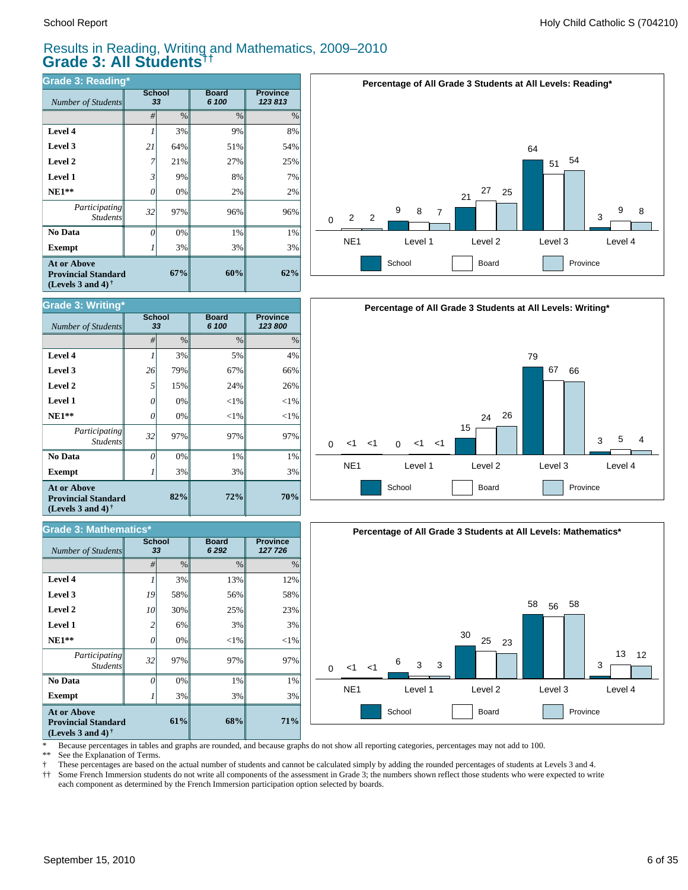#### Results in Reading, Writing and Mathematics, 2009–2010 **Grade 3: All Students††**

| <b>Grade 3: Reading*</b>                                                              |                     |      |                       |                           |  |  |  |  |
|---------------------------------------------------------------------------------------|---------------------|------|-----------------------|---------------------------|--|--|--|--|
| Number of Students                                                                    | <b>School</b><br>33 |      | <b>Board</b><br>6 100 | <b>Province</b><br>123813 |  |  |  |  |
|                                                                                       | #                   | $\%$ | $\frac{0}{0}$         | $\%$                      |  |  |  |  |
| Level 4                                                                               |                     | 3%   | 9%                    | 8%                        |  |  |  |  |
| Level 3                                                                               | 21                  | 64%  | 51%                   | 54%                       |  |  |  |  |
| Level 2                                                                               | 7                   | 21%  | 27%                   | 25%                       |  |  |  |  |
| <b>Level 1</b>                                                                        | 3                   | 9%   | 8%                    | 7%                        |  |  |  |  |
| $NE1**$                                                                               | 0                   | 0%   | 2%                    | 2%                        |  |  |  |  |
| Participating<br><b>Students</b>                                                      | 32                  | 97%  | 96%                   | 96%                       |  |  |  |  |
| No Data                                                                               | 0                   | 0%   | 1%                    | 1%                        |  |  |  |  |
| <b>Exempt</b>                                                                         |                     | 3%   | 3%                    | 3%                        |  |  |  |  |
| <b>At or Above</b><br>67%<br><b>Provincial Standard</b><br>(Levels 3 and 4) $\bar{ }$ |                     |      | 60%                   | 62%                       |  |  |  |  |







\* Because percentages in tables and graphs are rounded, and because graphs do not show all reporting categories, percentages may not add to 100.

See the Explanation of Terms.

† These percentages are based on the actual number of students and cannot be calculated simply by adding the rounded percentages of students at Levels 3 and 4.

Some French Immersion students do not write all components of the assessment in Grade 3; the numbers shown reflect those students who were expected to write each component as determined by the French Immersion participation option selected by boards.

| Grade 3: Writing*  |                     |               |                       |                            |  |  |  |  |  |
|--------------------|---------------------|---------------|-----------------------|----------------------------|--|--|--|--|--|
| Number of Students | <b>School</b><br>33 |               | <b>Board</b><br>6 100 | <b>Province</b><br>123 800 |  |  |  |  |  |
|                    | #                   | $\frac{0}{0}$ | $\frac{0}{0}$         | $\frac{0}{0}$              |  |  |  |  |  |
| Level 4            |                     | 3%            | 5%                    | 4%                         |  |  |  |  |  |
| Level 3            | 26                  | 79%           | 67%                   | 66%                        |  |  |  |  |  |
| Level 2            | 5                   | 15%           | 24%                   | 26%                        |  |  |  |  |  |
| <b>Level 1</b>     | 0                   | $0\%$         | $<$ 1%                | $<$ 1%                     |  |  |  |  |  |
| -----              |                     |               |                       |                            |  |  |  |  |  |

| $\mathbf{v}$ $\mathbf{v}$ $\mathbf{v}$ $\mathbf{v}$ $\mathbf{v}$ $\mathbf{v}$                        | <b>School</b> |            | <b>Board</b><br><u>a nnn</u> | <b>Province</b><br>$\sqrt{2}$ |  |  |  |
|------------------------------------------------------------------------------------------------------|---------------|------------|------------------------------|-------------------------------|--|--|--|
| <b>Grade 3: Mathematics*</b>                                                                         |               |            |                              |                               |  |  |  |
| <b>At or Above</b><br><b>Provincial Standard</b><br>(Levels 3 and 4) <sup><math>\dagger</math></sup> |               | 82%<br>72% | 70%                          |                               |  |  |  |
| <b>Exempt</b>                                                                                        |               | 3%         | 3%                           | 3%                            |  |  |  |
| No Data                                                                                              |               | 0%         | 1%                           | 1%                            |  |  |  |
| Participating<br><i>Students</i>                                                                     | 32            | 97%        | 97%                          | 97%                           |  |  |  |
| $NE1**$                                                                                              |               | 0%         | $< 1\%$                      | $<$ 1%                        |  |  |  |

| Number of Students                                                                    | <b>School</b><br>33 |      | <b>Board</b><br>6 2 9 2 | <b>Province</b><br>127 726 |
|---------------------------------------------------------------------------------------|---------------------|------|-------------------------|----------------------------|
|                                                                                       | #                   | $\%$ | $\frac{0}{0}$           | $\%$                       |
| Level 4                                                                               |                     | 3%   | 13%                     | 12%                        |
| Level 3                                                                               | 19                  | 58%  | 56%                     | 58%                        |
| Level 2                                                                               | 10                  | 30%  | 25%                     | 23%                        |
| <b>Level 1</b>                                                                        | 2                   | 6%   | 3%                      | 3%                         |
| $NE1**$                                                                               | 0                   | 0%   | $<$ 1%                  | ${<}1\%$                   |
| Participating<br><b>Students</b>                                                      | 32                  | 97%  | 97%                     | 97%                        |
| No Data                                                                               | 0                   | 0%   | 1%                      | 1%                         |
| <b>Exempt</b>                                                                         |                     | 3%   | 3%                      | 3%                         |
| <b>At or Above</b><br>61%<br><b>Provincial Standard</b><br>(Levels 3 and 4) $\dagger$ |                     |      | 68%                     | 71%                        |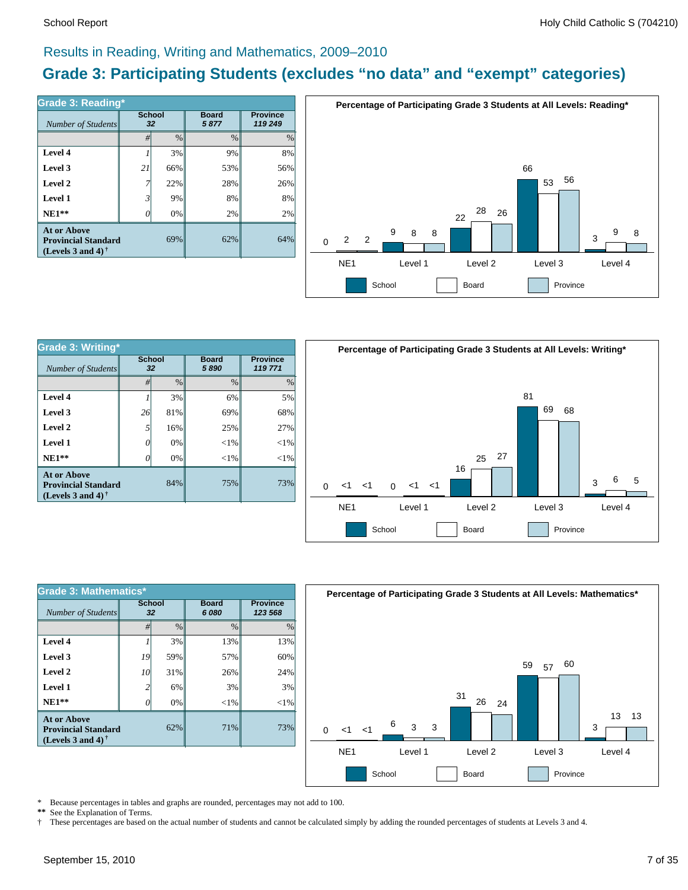#### Results in Reading, Writing and Mathematics, 2009–2010

### **Grade 3: Participating Students (excludes "no data" and "exempt" categories)**

| Number of Students                                                             | <b>School</b><br>32 |      | <b>Board</b><br>5877 | <b>Province</b><br>119 249 |
|--------------------------------------------------------------------------------|---------------------|------|----------------------|----------------------------|
|                                                                                | #                   | $\%$ | $\frac{0}{0}$        | %                          |
| Level 4                                                                        |                     | 3%   | 9%                   | 8%                         |
| Level 3                                                                        | 21                  | 66%  | 53%                  | 56%                        |
| Level 2                                                                        | 7                   | 22%  | 28%                  | 26%                        |
| Level 1                                                                        | 3                   | 9%   | 8%                   | 8%                         |
| $NE1**$                                                                        | 0                   | 0%   | 2%                   | 2%                         |
| <b>At or Above</b><br><b>Provincial Standard</b><br>(Levels 3 and 4) $\dagger$ |                     | 69%  | 62%                  | 64%                        |



| <b>Grade 3: Writing*</b>                                                |                     |               |                      |                            |  |  |  |
|-------------------------------------------------------------------------|---------------------|---------------|----------------------|----------------------------|--|--|--|
| Number of Students                                                      | <b>School</b><br>32 |               | <b>Board</b><br>5890 | <b>Province</b><br>119 771 |  |  |  |
|                                                                         | #                   | $\frac{0}{0}$ | $\frac{0}{0}$        | $\frac{0}{0}$              |  |  |  |
| Level 4                                                                 |                     | 3%            | 6%                   | 5%                         |  |  |  |
| Level 3                                                                 | 26                  | 81%           | 69%                  | 68%                        |  |  |  |
| Level 2                                                                 | 5                   | 16%           | 25%                  | 27%                        |  |  |  |
| Level 1                                                                 | 0                   | 0%            | $<$ 1%               | $<$ 1%                     |  |  |  |
| $NE1**$                                                                 | 0                   | 0%            | $<$ 1%               | <1%                        |  |  |  |
| At or Above<br><b>Provincial Standard</b><br>(Levels 3 and 4) $\dagger$ |                     | 84%           | 75%                  | 73%                        |  |  |  |



| <b>Grade 3: Mathematics*</b>                                                   |                     |               |                      |                            |  |  |  |  |
|--------------------------------------------------------------------------------|---------------------|---------------|----------------------|----------------------------|--|--|--|--|
| Number of Students                                                             | <b>School</b><br>32 |               | <b>Board</b><br>6080 | <b>Province</b><br>123 568 |  |  |  |  |
|                                                                                | #                   | $\frac{0}{0}$ | $\frac{0}{0}$        | $\frac{0}{0}$              |  |  |  |  |
| Level 4                                                                        |                     | 3%            | 13%                  | 13%                        |  |  |  |  |
| Level 3                                                                        | 19                  | 59%           | 57%                  | 60%                        |  |  |  |  |
| Level 2                                                                        | 10                  | 31%           | 26%                  | 24%                        |  |  |  |  |
| Level 1                                                                        | 2                   | 6%            | 3%                   | 3%                         |  |  |  |  |
| $NE1**$                                                                        | O                   | 0%            | $<$ 1%               | $<$ 1%                     |  |  |  |  |
| <b>At or Above</b><br><b>Provincial Standard</b><br>(Levels 3 and 4) $\dagger$ |                     | 62%           | 71%                  | 73%                        |  |  |  |  |



\* Because percentages in tables and graphs are rounded, percentages may not add to 100.<br>\*\* See the Explanation of Terms

See the Explanation of Terms.

† These percentages are based on the actual number of students and cannot be calculated simply by adding the rounded percentages of students at Levels 3 and 4.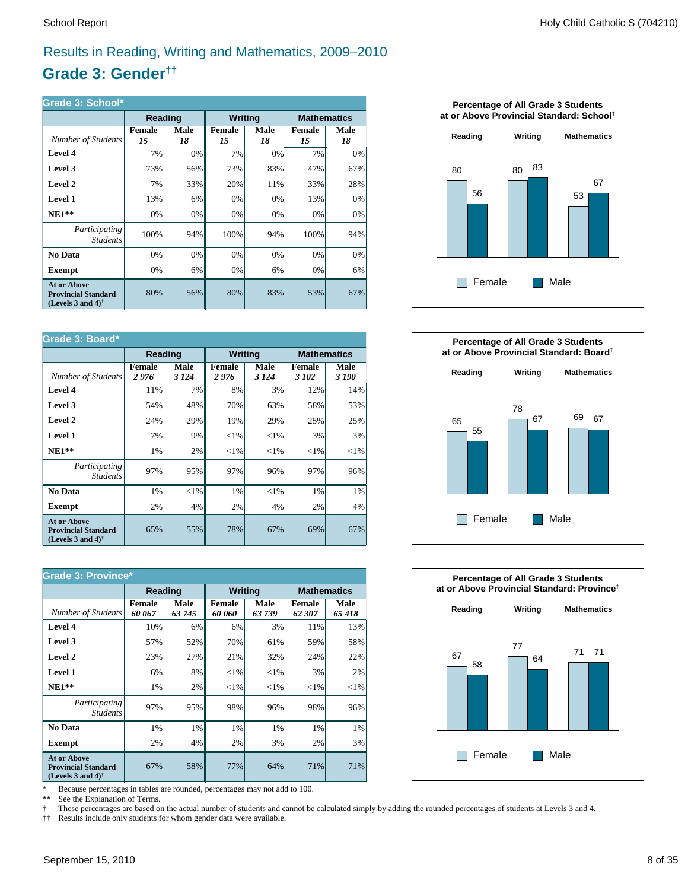### Results in Reading, Writing and Mathematics, 2009–2010

### **Grade 3: Gender††**

| Grade 3: School*                                                                                     |              |            |                |            |                     |                    |  |
|------------------------------------------------------------------------------------------------------|--------------|------------|----------------|------------|---------------------|--------------------|--|
|                                                                                                      | Reading      |            | <b>Writing</b> |            |                     | <b>Mathematics</b> |  |
| Number of Students                                                                                   | Female<br>15 | Male<br>18 | Female<br>15   | Male<br>18 | <b>Female</b><br>15 | Male<br>18         |  |
| Level 4                                                                                              | 7%           | 0%         | 7%             | 0%         | 7%                  | 0%                 |  |
| Level 3                                                                                              | 73%          | 56%        | 73%            | 83%        | 47%                 | 67%                |  |
| Level 2                                                                                              | 7%           | 33%        | 20%            | 11%        | 33%                 | 28%                |  |
| <b>Level 1</b>                                                                                       | 13%          | 6%         | 0%             | 0%         | 13%                 | 0%                 |  |
| $NE1**$                                                                                              | 0%           | 0%         | 0%             | 0%         | 0%                  | 0%                 |  |
| <i>Participating</i><br><i>Students</i>                                                              | 100%         | 94%        | 100%           | 94%        | 100%                | 94%                |  |
| No Data                                                                                              | 0%           | 0%         | 0%             | 0%         | 0%                  | 0%                 |  |
| <b>Exempt</b>                                                                                        | 0%           | 6%         | 0%             | 6%         | 0%                  | 6%                 |  |
| <b>At or Above</b><br><b>Provincial Standard</b><br>(Levels 3 and 4) <sup><math>\dagger</math></sup> | 80%          | 56%        | 80%            | 83%        | 53%                 | 67%                |  |

| Grade 3: Board*                                                                |                       |                |                       |                |                        |                    |  |
|--------------------------------------------------------------------------------|-----------------------|----------------|-----------------------|----------------|------------------------|--------------------|--|
|                                                                                | Reading               |                | <b>Writing</b>        |                |                        | <b>Mathematics</b> |  |
| Number of Students                                                             | <b>Female</b><br>2976 | Male<br>3 1 24 | <b>Female</b><br>2976 | Male<br>3 1 24 | <b>Female</b><br>3 102 | Male<br>3 190      |  |
| Level 4                                                                        | 11%                   | 7%             | 8%                    | 3%             | 12%                    | 14%                |  |
| Level 3                                                                        | 54%                   | 48%            | 70%                   | 63%            | 58%                    | 53%                |  |
| Level 2                                                                        | 24%                   | 29%            | 19%                   | 29%            | 25%                    | 25%                |  |
| Level 1                                                                        | 7%                    | 9%             | ${<}1\%$              | $<$ 1%         | 3%                     | 3%                 |  |
| $NE1**$                                                                        | 1%                    | 2%             | ${<}1\%$              | ${<}1\%$       | ${<}1\%$               | ${<}1\%$           |  |
| Participating<br><i>Students</i>                                               | 97%                   | 95%            | 97%                   | 96%            | 97%                    | 96%                |  |
| No Data                                                                        | 1%                    | $< 1\%$        | 1%                    | $<$ 1%         | 1%                     | $1\%$              |  |
| <b>Exempt</b>                                                                  | 2%                    | 4%             | 2%                    | 4%             | 2%                     | $4\%$              |  |
| <b>At or Above</b><br><b>Provincial Standard</b><br>(Levels 3 and 4) $\dagger$ | 65%                   | 55%            | 78%                   | 67%            | 69%                    | 67%                |  |

| <b>Grade 3: Province*</b>                                                                            |                  |                       |                         |                       |                    |               |  |
|------------------------------------------------------------------------------------------------------|------------------|-----------------------|-------------------------|-----------------------|--------------------|---------------|--|
|                                                                                                      | <b>Reading</b>   |                       | <b>Writing</b>          |                       | <b>Mathematics</b> |               |  |
| Number of Students                                                                                   | Female<br>60 067 | <b>Male</b><br>63 745 | <b>Female</b><br>60 060 | <b>Male</b><br>63 739 | Female<br>62 307   | Male<br>65418 |  |
| Level 4                                                                                              | 10%              | 6%                    | 6%                      | 3%                    | 11%                | 13%           |  |
| Level 3                                                                                              | 57%              | 52%                   | 70%                     | 61%                   | 59%                | 58%           |  |
| Level 2                                                                                              | 23%              | 27%                   | 21%                     | 32%                   | 24%                | 22%           |  |
| Level 1                                                                                              | 6%               | 8%                    | ${<}1\%$                | ${<}1\%$              | 3%                 | 2%            |  |
| $NE1**$                                                                                              | 1%               | 2%                    | ${<}1\%$                | ${<}1\%$              | ${<}1\%$           | ${<}1\%$      |  |
| <i>Participating</i><br><i>Students</i>                                                              | 97%              | 95%                   | 98%                     | 96%                   | 98%                | 96%           |  |
| No Data                                                                                              | 1%               | 1%                    | 1%                      | 1%                    | 1%                 | 1%            |  |
| <b>Exempt</b>                                                                                        | 2%               | 4%                    | 2%                      | 3%                    | 2%                 | 3%            |  |
| <b>At or Above</b><br><b>Provincial Standard</b><br>(Levels 3 and 4) <sup><math>\dagger</math></sup> | 67%              | 58%                   | 77%                     | 64%                   | 71%                | 71%           |  |

\* Because percentages in tables are rounded, percentages may not add to 100.<br>\*\* See the Explanation of Terms.

See the Explanation of Terms.

† These percentages are based on the actual number of students and cannot be calculated simply by adding the rounded percentages of students at Levels 3 and 4.<br>†† Results include only students for whom gender data were ava

†† Results include only students for whom gender data were available.





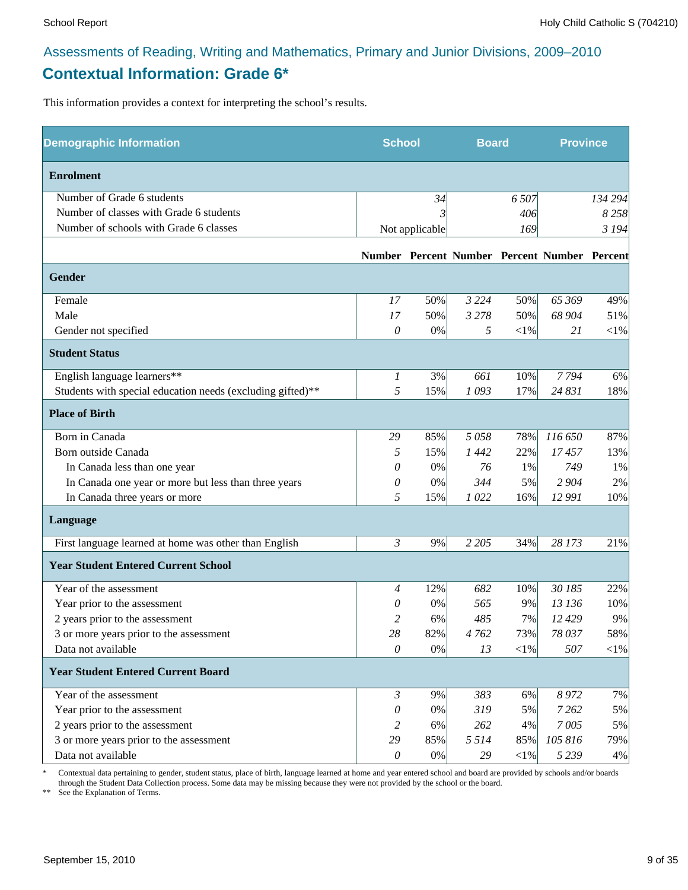### Assessments of Reading, Writing and Mathematics, Primary and Junior Divisions, 2009–2010 **Contextual Information: Grade 6\***

This information provides a context for interpreting the school's results.

| <b>Demographic Information</b>                             | <b>School</b>    |                | <b>Board</b> |            | <b>Province</b>                              |            |
|------------------------------------------------------------|------------------|----------------|--------------|------------|----------------------------------------------|------------|
| <b>Enrolment</b>                                           |                  |                |              |            |                                              |            |
| Number of Grade 6 students                                 |                  | 34             |              | 6 5 0 7    |                                              | 134 294    |
| Number of classes with Grade 6 students                    |                  |                |              | 406        |                                              | 8258       |
| Number of schools with Grade 6 classes                     |                  | Not applicable |              | 169        |                                              | 3 1 9 4    |
|                                                            |                  |                |              |            | Number Percent Number Percent Number Percent |            |
| Gender                                                     |                  |                |              |            |                                              |            |
| Female                                                     | 17               | 50%            | 3 2 2 4      | 50%        | 65 369                                       | 49%        |
| Male                                                       | 17               | 50%            | 3 2 7 8      | 50%        | 68 904                                       | 51%        |
| Gender not specified                                       | 0                | 0%             | 5            | $<\!\!1\%$ | 21                                           | $<\!\!1\%$ |
| <b>Student Status</b>                                      |                  |                |              |            |                                              |            |
| English language learners**                                | $\boldsymbol{l}$ | 3%             | 661          | 10%        | 7794                                         | 6%         |
| Students with special education needs (excluding gifted)** | 5                | 15%            | 1093         | 17%        | 24 831                                       | 18%        |
| <b>Place of Birth</b>                                      |                  |                |              |            |                                              |            |
| Born in Canada                                             | 29               | 85%            | 5058         | 78%        | 116 650                                      | 87%        |
| Born outside Canada                                        | 5                | 15%            | 1442         | 22%        | 17457                                        | 13%        |
| In Canada less than one year                               | 0                | 0%             | 76           | 1%         | 749                                          | 1%         |
| In Canada one year or more but less than three years       | 0                | 0%             | 344          | 5%         | 2 9 0 4                                      | 2%         |
| In Canada three years or more                              | 5                | 15%            | 1022         | 16%        | 12 991                                       | 10%        |
| Language                                                   |                  |                |              |            |                                              |            |
| First language learned at home was other than English      | $\mathfrak{Z}$   | 9%             | 2 2 0 5      | 34%        | 28 173                                       | 21%        |
| <b>Year Student Entered Current School</b>                 |                  |                |              |            |                                              |            |
| Year of the assessment                                     | 4                | 12%            | 682          | 10%        | 30 185                                       | 22%        |
| Year prior to the assessment                               | 0                | 0%             | 565          | 9%         | 13 136                                       | 10%        |
| 2 years prior to the assessment                            | 2                | 6%             | 485          | 7%         | 12 429                                       | 9%         |
| 3 or more years prior to the assessment                    | 28               | 82%            | 4762         | 73%        | 78 037                                       | 58%        |
| Data not available                                         | $\theta$         | $0\%$          | 13           | $<$ 1%     | 507                                          | $<$ 1%     |
| <b>Year Student Entered Current Board</b>                  |                  |                |              |            |                                              |            |
| Year of the assessment                                     | $\mathfrak{Z}$   | 9%             | 383          | 6%         | 8972                                         | 7%         |
| Year prior to the assessment                               | 0                | 0%             | 319          | 5%         | 7 2 6 2                                      | 5%         |
| 2 years prior to the assessment                            | 2                | 6%             | 262          | 4%         | 7005                                         | 5%         |
| 3 or more years prior to the assessment                    | 29               | 85%            | 5 5 1 4      | 85%        | 105 816                                      | 79%        |
| Data not available                                         | $\mathcal O$     | $0\%$          | 29           | $<\!\!1\%$ | 5 2 3 9                                      | 4%         |

\* Contextual data pertaining to gender, student status, place of birth, language learned at home and year entered school and board are provided by schools and/or boards through the Student Data Collection process. Some data may be missing because they were not provided by the school or the board.

\*\* See the Explanation of Terms.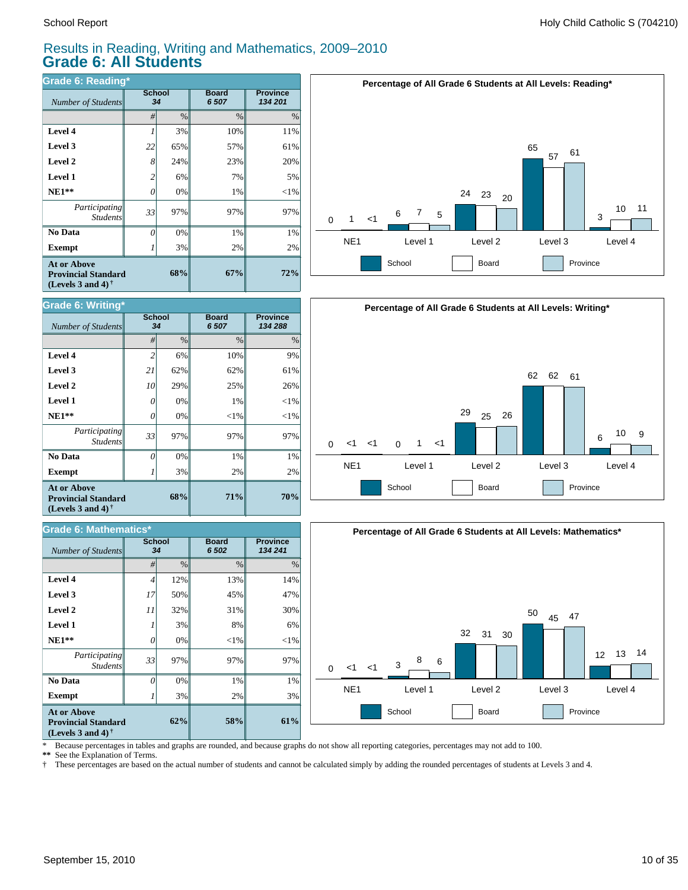#### Results in Reading, Writing and Mathematics, 2009–2010 **Grade 6: All Students**

| Grade 6: Reading*                                                              |                     |      |                       |                            |  |  |  |  |
|--------------------------------------------------------------------------------|---------------------|------|-----------------------|----------------------------|--|--|--|--|
| Number of Students                                                             | <b>School</b><br>34 |      | <b>Board</b><br>6 507 | <b>Province</b><br>134 201 |  |  |  |  |
|                                                                                | #                   | $\%$ | $\frac{0}{0}$         | $\%$                       |  |  |  |  |
| Level 4                                                                        |                     | 3%   | 10%                   | 11%                        |  |  |  |  |
| Level 3                                                                        | 22                  | 65%  | 57%                   | 61%                        |  |  |  |  |
| Level 2                                                                        | 8                   | 24%  | 23%                   | 20%                        |  |  |  |  |
| <b>Level 1</b>                                                                 | 2                   | 6%   | 7%                    | 5%                         |  |  |  |  |
| $NE1**$                                                                        | 0                   | 0%   | 1%                    | $<$ 1%                     |  |  |  |  |
| Participating<br><b>Students</b>                                               | 33                  | 97%  | 97%                   | 97%                        |  |  |  |  |
| No Data                                                                        | 0                   | 0%   | 1%                    | 1%                         |  |  |  |  |
| <b>Exempt</b>                                                                  |                     | 3%   | 2%                    | 2%                         |  |  |  |  |
| <b>At or Above</b><br><b>Provincial Standard</b><br>(Levels 3 and 4) $\dagger$ |                     | 67%  | 72%                   |                            |  |  |  |  |



| Grade 6: Writing*                                                                                           |                     |               |                       |                            |  |  |  |  |
|-------------------------------------------------------------------------------------------------------------|---------------------|---------------|-----------------------|----------------------------|--|--|--|--|
| Number of Students                                                                                          | <b>School</b><br>34 |               | <b>Board</b><br>6 507 | <b>Province</b><br>134 288 |  |  |  |  |
|                                                                                                             | #                   | $\frac{0}{0}$ | $\frac{0}{0}$         | $\frac{0}{0}$              |  |  |  |  |
| Level 4                                                                                                     | $\overline{c}$      | 6%            | 10%                   | 9%                         |  |  |  |  |
| Level 3                                                                                                     | 21                  | 62%           | 62%                   | 61%                        |  |  |  |  |
| Level 2                                                                                                     | 10                  | 29%           | 25%                   | 26%                        |  |  |  |  |
| Level 1                                                                                                     | 0                   | 0%            | 1%                    | $<$ 1%                     |  |  |  |  |
| $NE1**$                                                                                                     | 0                   | 0%            | $<$ 1%                | $<$ 1%                     |  |  |  |  |
| Participating<br><b>Students</b>                                                                            | 33                  | 97%           | 97%                   | 97%                        |  |  |  |  |
| No Data                                                                                                     | O                   | 0%            | 1%                    | 1%                         |  |  |  |  |
| <b>Exempt</b>                                                                                               |                     | 3%            | 2%                    | 2%                         |  |  |  |  |
| <b>At or Above</b><br>68%<br><b>Provincial Standard</b><br>(Levels 3 and 4) <sup><math>\dagger</math></sup> |                     |               | 71%                   | 70%                        |  |  |  |  |

| Grade 6: Mathematics*                                                          |                     |               |                       |                            |  |  |  |  |
|--------------------------------------------------------------------------------|---------------------|---------------|-----------------------|----------------------------|--|--|--|--|
| Number of Students                                                             | <b>School</b><br>34 |               | <b>Board</b><br>6 502 | <b>Province</b><br>134 241 |  |  |  |  |
|                                                                                | #                   | $\frac{0}{0}$ | $\frac{0}{0}$         | $\%$                       |  |  |  |  |
| Level 4                                                                        | $\overline{4}$      | 12%           | 13%                   | 14%                        |  |  |  |  |
| Level 3                                                                        | 17                  | 50%           | 45%                   | 47%                        |  |  |  |  |
| Level 2                                                                        | 11                  | 32%           | 31%                   | 30%                        |  |  |  |  |
| Level 1                                                                        |                     | 3%            | 8%                    | 6%                         |  |  |  |  |
| $NE1**$                                                                        | 0                   | 0%            | $<$ 1%                | $<$ 1%                     |  |  |  |  |
| Participating<br><b>Students</b>                                               | 33                  | 97%           | 97%                   | 97%                        |  |  |  |  |
| No Data                                                                        | $\theta$            | 0%            | 1%                    | 1%                         |  |  |  |  |
| <b>Exempt</b>                                                                  |                     | 3%            | 2%                    | 3%                         |  |  |  |  |
| <b>At or Above</b><br><b>Provincial Standard</b><br>(Levels 3 and 4) $\dagger$ |                     | 58%           | 61%                   |                            |  |  |  |  |





\* Because percentages in tables and graphs are rounded, and because graphs do not show all reporting categories, percentages may not add to 100.

**\*\*** See the Explanation of Terms.

† These percentages are based on the actual number of students and cannot be calculated simply by adding the rounded percentages of students at Levels 3 and 4.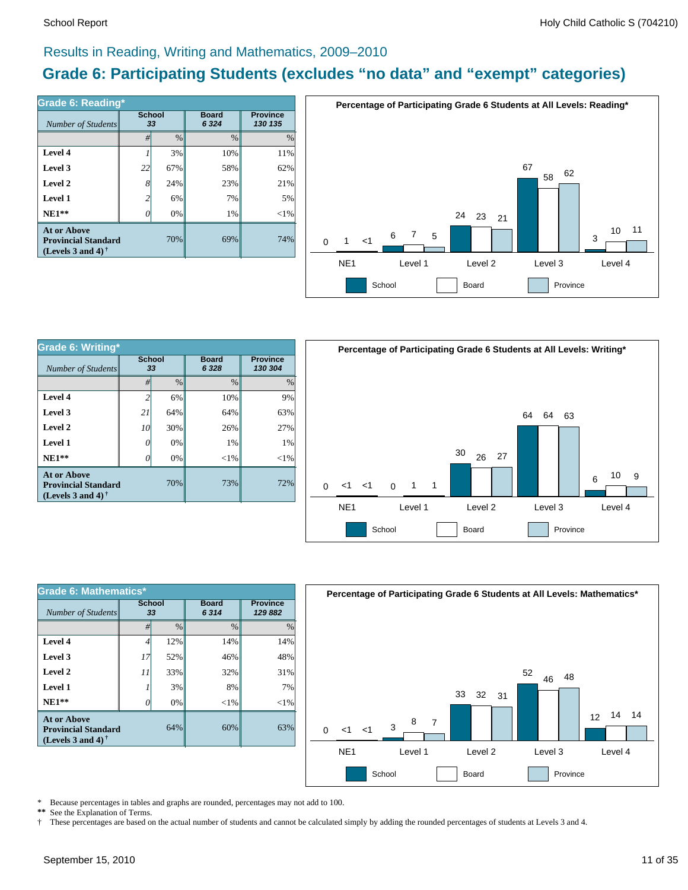#### Results in Reading, Writing and Mathematics, 2009–2010

### **Grade 6: Participating Students (excludes "no data" and "exempt" categories)**

| Number of Students                                                             | <b>School</b><br>33 |      | <b>Board</b><br>6 3 2 4 | <b>Province</b><br>130 135 |  |
|--------------------------------------------------------------------------------|---------------------|------|-------------------------|----------------------------|--|
|                                                                                | #                   | $\%$ | $\frac{0}{0}$           | $\frac{0}{0}$              |  |
| Level 4                                                                        |                     | 3%   | 10%                     | 11%                        |  |
| Level 3                                                                        | 22                  | 67%  | 58%                     | 62%                        |  |
| Level 2                                                                        | 8                   | 24%  | 23%                     | 21%                        |  |
| Level 1                                                                        | 2                   | 6%   | 7%                      | 5%                         |  |
| $NE1**$                                                                        | 0                   | 0%   | 1%                      | $<$ 1%                     |  |
| <b>At or Above</b><br><b>Provincial Standard</b><br>(Levels 3 and 4) $\dagger$ |                     | 70%  | 69%                     | 74%                        |  |



| Grade 6: Writing*                                                              |                     |               |                        |                            |  |  |  |  |
|--------------------------------------------------------------------------------|---------------------|---------------|------------------------|----------------------------|--|--|--|--|
| Number of Students                                                             | <b>School</b><br>33 |               | <b>Board</b><br>6 3 28 | <b>Province</b><br>130 304 |  |  |  |  |
|                                                                                | #                   | $\frac{0}{0}$ | $\frac{0}{0}$          | $\frac{0}{0}$              |  |  |  |  |
| Level 4                                                                        | 2                   | 6%            | 10%                    | 9%                         |  |  |  |  |
| Level 3                                                                        | 21                  | 64%           | 64%                    | 63%                        |  |  |  |  |
| Level 2                                                                        | 10                  | 30%           | 26%                    | 27%                        |  |  |  |  |
| Level 1                                                                        | 0                   | 0%            | 1%                     | 1%                         |  |  |  |  |
| $NE1**$                                                                        | $\theta$            | 0%            | $<$ 1%                 | $<$ 1%                     |  |  |  |  |
| <b>At or Above</b><br><b>Provincial Standard</b><br>(Levels 3 and 4) $\dagger$ |                     | 70%           | 73%                    | 72%                        |  |  |  |  |



| Grade 6: Mathematics*                                                                 |                     |      |                      |                            |  |  |  |  |
|---------------------------------------------------------------------------------------|---------------------|------|----------------------|----------------------------|--|--|--|--|
| Number of Students                                                                    | <b>School</b><br>33 |      | <b>Board</b><br>6314 | <b>Province</b><br>129 882 |  |  |  |  |
|                                                                                       | #                   | $\%$ | $\frac{0}{0}$        | $\frac{0}{0}$              |  |  |  |  |
| Level 4                                                                               | 4                   | 12%  | 14%                  | 14%                        |  |  |  |  |
| Level 3                                                                               | 17                  | 52%  | 46%                  | 48%                        |  |  |  |  |
| Level 2                                                                               | 11                  | 33%  | 32%                  | 31%                        |  |  |  |  |
| Level 1                                                                               |                     | 3%   | 8%                   | 7%                         |  |  |  |  |
| $NE1**$                                                                               | 0                   | 0%   | $<$ 1%               | $<$ 1%                     |  |  |  |  |
| <b>At or Above</b><br>64%<br><b>Provincial Standard</b><br>(Levels 3 and 4) $\dagger$ |                     |      | 60%                  | 63%                        |  |  |  |  |



\* Because percentages in tables and graphs are rounded, percentages may not add to 100.<br>\*\* See the Explanation of Terms

See the Explanation of Terms.

† These percentages are based on the actual number of students and cannot be calculated simply by adding the rounded percentages of students at Levels 3 and 4.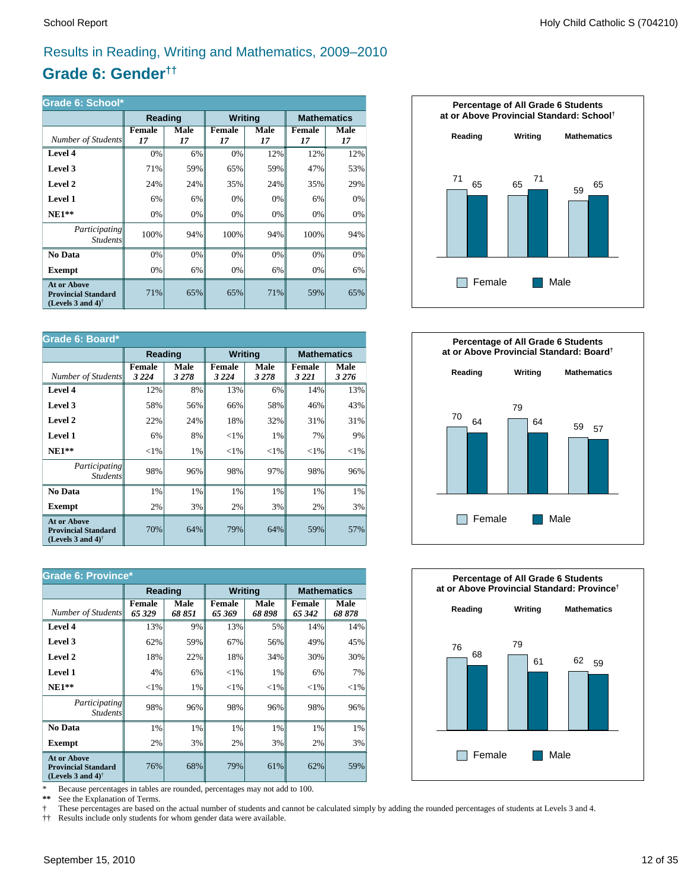### Results in Reading, Writing and Mathematics, 2009–2010

### **Grade 6: Gender††**

| Grade 6: School*                                                                                     |              |            |                     |            |                     |            |  |  |
|------------------------------------------------------------------------------------------------------|--------------|------------|---------------------|------------|---------------------|------------|--|--|
|                                                                                                      | Reading      |            | <b>Writing</b>      |            | <b>Mathematics</b>  |            |  |  |
| Number of Students                                                                                   | Female<br>17 | Male<br>17 | <b>Female</b><br>17 | Male<br>17 | <b>Female</b><br>17 | Male<br>17 |  |  |
| Level 4                                                                                              | 0%           | 6%         | 0%                  | 12%        | 12%                 | 12%        |  |  |
| Level 3                                                                                              | 71%          | 59%        | 65%                 | 59%        | 47%                 | 53%        |  |  |
| Level 2                                                                                              | 24%          | 24%        | 35%                 | 24%        | 35%                 | 29%        |  |  |
| <b>Level 1</b>                                                                                       | 6%           | 6%         | 0%                  | 0%         | 6%                  | 0%         |  |  |
| $NE1**$                                                                                              | 0%           | 0%         | 0%                  | 0%         | 0%                  | 0%         |  |  |
| Participating<br><i>Students</i>                                                                     | 100%         | 94%        | 100%                | 94%        | 100%                | 94%        |  |  |
| No Data                                                                                              | 0%           | $0\%$      | 0%                  | $0\%$      | 0%                  | 0%         |  |  |
| <b>Exempt</b>                                                                                        | 0%           | 6%         | 0%                  | 6%         | 0%                  | 6%         |  |  |
| <b>At or Above</b><br><b>Provincial Standard</b><br>(Levels 3 and 4) <sup><math>\dagger</math></sup> | 71%          | 65%        | 65%                 | 71%        | 59%                 | 65%        |  |  |

| Grade 6: Board*                                                                |                          |                 |                          |                 |                          |                    |  |
|--------------------------------------------------------------------------------|--------------------------|-----------------|--------------------------|-----------------|--------------------------|--------------------|--|
|                                                                                | Reading                  |                 | <b>Writing</b>           |                 |                          | <b>Mathematics</b> |  |
| Number of Students                                                             | <b>Female</b><br>3 2 2 4 | Male<br>3 2 7 8 | <b>Female</b><br>3 2 2 4 | Male<br>3 2 7 8 | <b>Female</b><br>3 2 2 1 | Male<br>3 2 7 6    |  |
| Level 4                                                                        | 12%                      | 8%              | 13%                      | 6%              | 14%                      | 13%                |  |
| Level 3                                                                        | 58%                      | 56%             | 66%                      | 58%             | 46%                      | 43%                |  |
| Level 2                                                                        | 22%                      | 24%             | 18%                      | 32%             | 31%                      | 31%                |  |
| <b>Level 1</b>                                                                 | 6%                       | 8%              | ${<}1\%$                 | 1%              | 7%                       | 9%                 |  |
| $NE1**$                                                                        | ${<}1\%$                 | 1%              | ${<}1\%$                 | ${<}1\%$        | ${<}1\%$                 | ${<}1\%$           |  |
| Participating<br><b>Students</b>                                               | 98%                      | 96%             | 98%                      | 97%             | 98%                      | 96%                |  |
| No Data                                                                        | 1%                       | 1%              | 1%                       | 1%              | 1%                       | 1%                 |  |
| Exempt                                                                         | 2%                       | 3%              | 2%                       | 3%              | 2%                       | 3%                 |  |
| <b>At or Above</b><br><b>Provincial Standard</b><br>(Levels 3 and 4) $\dagger$ | 70%                      | 64%             | 79%                      | 64%             | 59%                      | 57%                |  |

| <b>Grade 6: Province*</b>                                                      |                         |                |                         |                |                         |               |  |
|--------------------------------------------------------------------------------|-------------------------|----------------|-------------------------|----------------|-------------------------|---------------|--|
|                                                                                | Reading                 |                | <b>Writing</b>          |                | <b>Mathematics</b>      |               |  |
| Number of Students                                                             | <b>Female</b><br>65 329 | Male<br>68 851 | <b>Female</b><br>65 369 | Male<br>68 898 | <b>Female</b><br>65 342 | Male<br>68878 |  |
| Level 4                                                                        | 13%                     | 9%             | 13%                     | 5%             | 14%                     | 14%           |  |
| Level 3                                                                        | 62%                     | 59%            | 67%                     | 56%            | 49%                     | 45%           |  |
| Level 2                                                                        | 18%                     | 22%            | 18%                     | 34%            | 30%                     | 30%           |  |
| Level 1                                                                        | 4%                      | 6%             | ${<}1\%$                | 1%             | 6%                      | 7%            |  |
| $NE1**$                                                                        | ${<}1\%$                | 1%             | ${<}1\%$                | ${<}1\%$       | ${<}1\%$                | ${<}1\%$      |  |
| <i>Participating</i><br><i>Students</i>                                        | 98%                     | 96%            | 98%                     | 96%            | 98%                     | 96%           |  |
| No Data                                                                        | 1%                      | 1%             | 1%                      | 1%             | 1%                      | 1%            |  |
| <b>Exempt</b>                                                                  | 2%                      | 3%             | 2%                      | 3%             | 2%                      | 3%            |  |
| <b>At or Above</b><br><b>Provincial Standard</b><br>(Levels 3 and 4) $\dagger$ | 76%                     | 68%            | 79%                     | 61%            | 62%                     | 59%           |  |

\* Because percentages in tables are rounded, percentages may not add to 100.<br>\*\* See the Explanation of Terms.

See the Explanation of Terms.

† These percentages are based on the actual number of students and cannot be calculated simply by adding the rounded percentages of students at Levels 3 and 4.<br>†† Results include only students for whom gender data were ava

†† Results include only students for whom gender data were available.





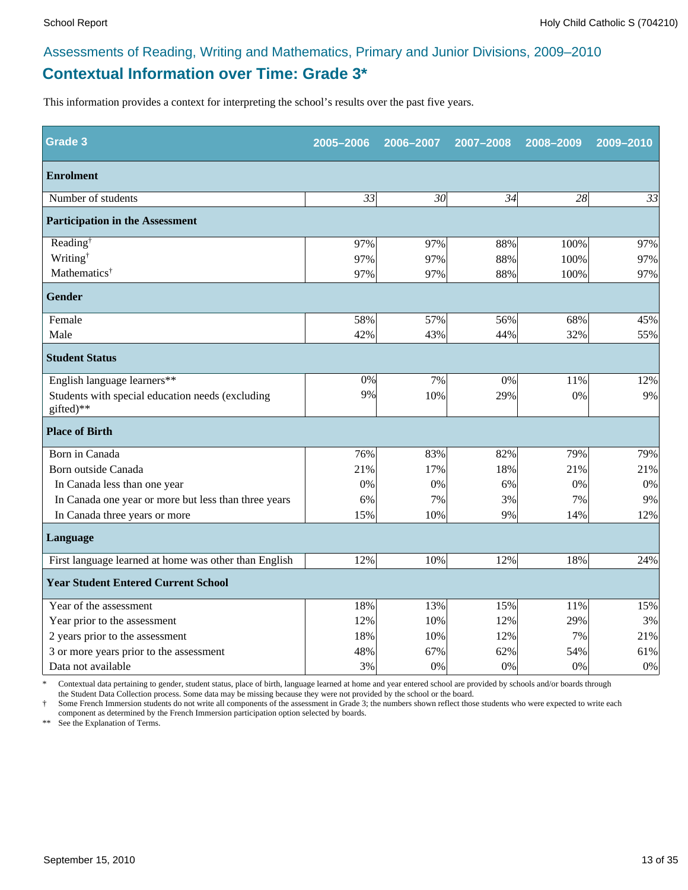### **Contextual Information over Time: Grade 3\*** Assessments of Reading, Writing and Mathematics, Primary and Junior Divisions, 2009–2010

This information provides a context for interpreting the school's results over the past five years.

| Grade 3                                                       | 2005-2006 | 2006-2007       | 2007-2008 | 2008-2009 | 2009-2010 |
|---------------------------------------------------------------|-----------|-----------------|-----------|-----------|-----------|
| <b>Enrolment</b>                                              |           |                 |           |           |           |
| Number of students                                            | 33        | 30 <sup>l</sup> | 34        | 28        | 33        |
| <b>Participation in the Assessment</b>                        |           |                 |           |           |           |
| Reading <sup>†</sup>                                          | 97%       | 97%             | 88%       | 100%      | 97%       |
| Writing <sup>†</sup>                                          | 97%       | 97%             | 88%       | 100%      | 97%       |
| Mathematics <sup>†</sup>                                      | 97%       | 97%             | 88%       | 100%      | 97%       |
| <b>Gender</b>                                                 |           |                 |           |           |           |
| Female                                                        | 58%       | 57%             | 56%       | 68%       | 45%       |
| Male                                                          | 42%       | 43%             | 44%       | 32%       | 55%       |
| <b>Student Status</b>                                         |           |                 |           |           |           |
| English language learners**                                   | 0%        | 7%              | 0%        | 11%       | 12%       |
| Students with special education needs (excluding<br>gifted)** | 9%        | 10%             | 29%       | 0%        | 9%        |
| <b>Place of Birth</b>                                         |           |                 |           |           |           |
| Born in Canada                                                | 76%       | 83%             | 82%       | 79%       | 79%       |
| Born outside Canada                                           | 21%       | 17%             | 18%       | 21%       | 21%       |
| In Canada less than one year                                  | 0%        | 0%              | 6%        | 0%        | 0%        |
| In Canada one year or more but less than three years          | 6%        | 7%              | 3%        | 7%        | 9%        |
| In Canada three years or more                                 | 15%       | 10%             | 9%        | 14%       | 12%       |
| <b>Language</b>                                               |           |                 |           |           |           |
| First language learned at home was other than English         | 12%       | 10%             | 12%       | 18%       | 24%       |
| <b>Year Student Entered Current School</b>                    |           |                 |           |           |           |
| Year of the assessment                                        | 18%       | 13%             | 15%       | 11%       | 15%       |
| Year prior to the assessment                                  | 12%       | 10%             | 12%       | 29%       | 3%        |
| 2 years prior to the assessment                               | 18%       | 10%             | 12%       | 7%        | 21%       |
| 3 or more years prior to the assessment                       | 48%       | 67%             | 62%       | 54%       | 61%       |
| Data not available                                            | 3%        | 0%              | 0%        | 0%        | 0%        |

\* Contextual data pertaining to gender, student status, place of birth, language learned at home and year entered school are provided by schools and/or boards through the Student Data Collection process. Some data may be missing because they were not provided by the school or the board.

† Some French Immersion students do not write all components of the assessment in Grade 3; the numbers shown reflect those students who were expected to write each component as determined by the French Immersion participation option selected by boards.

\*\* See the Explanation of Terms.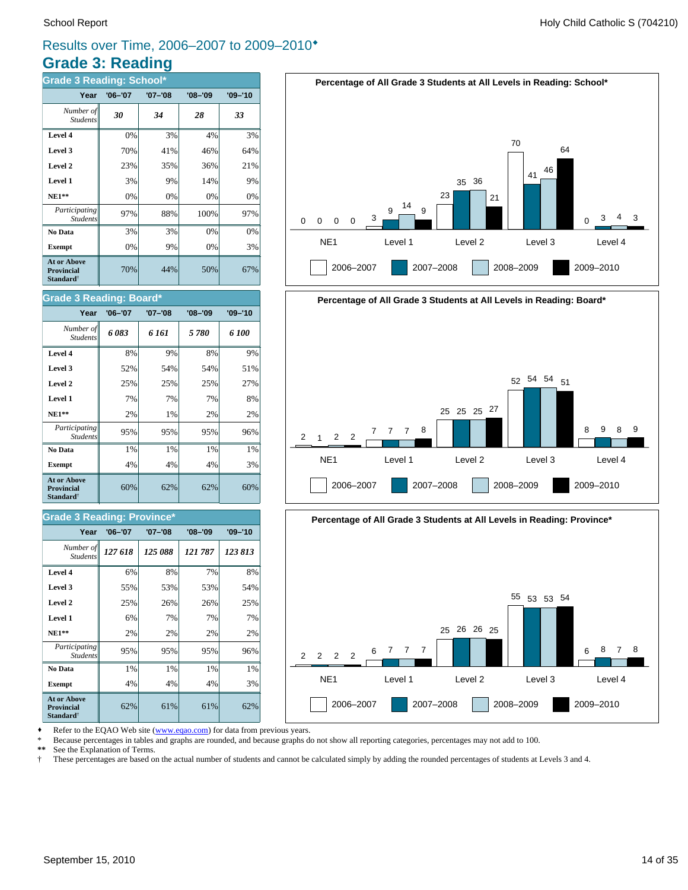### **Grade 3: Reading** Results over Time, 2006–2007 to 2009–2010®

| <b>Grade 3 Reading: School*</b>                                         |             |             |             |             |  |  |  |  |  |
|-------------------------------------------------------------------------|-------------|-------------|-------------|-------------|--|--|--|--|--|
| Year                                                                    | $'06 - '07$ | $'07 - '08$ | $'08 - '09$ | $'09 - '10$ |  |  |  |  |  |
| Number of<br><b>Students</b>                                            | 30          | 34          | 28          | 33          |  |  |  |  |  |
| Level 4                                                                 | 0%          | 3%          | 4%          | 3%          |  |  |  |  |  |
| Level 3                                                                 | 70%         | 41%         | 46%         | 64%         |  |  |  |  |  |
| Level 2                                                                 | 23%         | 35%         | 36%         | 21%         |  |  |  |  |  |
| Level 1                                                                 | 3%          | 9%          | 14%         | 9%          |  |  |  |  |  |
| $NE1**$                                                                 | 0%          | 0%          | 0%          | 0%          |  |  |  |  |  |
| Participating<br><b>Students</b>                                        | 97%         | 88%         | 100%        | 97%         |  |  |  |  |  |
| No Data                                                                 | 3%          | 3%          | 0%          | 0%          |  |  |  |  |  |
| <b>Exempt</b>                                                           | 0%          | 9%          | 0%          | 3%          |  |  |  |  |  |
| <b>At or Above</b><br><b>Provincial</b><br><b>Standard</b> <sup>†</sup> | 70%         | 44%         | 50%         | 67%         |  |  |  |  |  |

#### School Report **Example 2** and the set of the set of the set of the set of the set of the set of the set of the set of the set of the set of the set of the set of the set of the set of the set of the set of the set of the s



## **Percentage of All Grade 3 Students at All Levels in Reading: Board\*** NE1 Level 1 Level 2 Level 3 Level 4  $\mathfrak{p}$ 2006–2007 2007–2008 2008–2009 2009–2010 <sup>1</sup> <sup>2</sup> <sup>2</sup> <sup>7</sup> <sup>7</sup> <sup>7</sup> <sup>8</sup> 25 25 25 27 52 54 54 51 8 9 8 9



Refer to the EQAO Web site (www.eqao.com) for data from previous years.

\* Because percentages in tables and graphs are rounded, and because graphs do not show all reporting categories, percentages may not add to 100.

**\*\*** See the Explanation of Terms.

† These percentages are based on the actual number of students and cannot be calculated simply by adding the rounded percentages of students at Levels 3 and 4.

#### 60% 62% 62% 60% **At or Above Provincial Standard**†

*Student* 

Student.

**Grade 3 Reading: Board\***

#### **Grade 3 Reading: Province\***

| Year                                                                    | $'06 - '07$ | $'07 - '08$ | $'08 - '09$ | $'09 - '10$ |
|-------------------------------------------------------------------------|-------------|-------------|-------------|-------------|
| Number of<br><b>Students</b>                                            | 127 618     | 125 088     | 121 787     | 123813      |
| Level 4                                                                 | 6%          | 8%          | 7%          | 8%          |
| Level 3                                                                 | 55%         | 53%         | 53%         | 54%         |
| Level 2                                                                 | 25%         | 26%         | 26%         | 25%         |
| Level 1                                                                 | 6%          | 7%          | 7%          | 7%          |
| $NE1**$                                                                 | 2%          | 2%          | 2%          | 2%          |
| Participating<br><b>Students</b>                                        | 95%         | 95%         | 95%         | 96%         |
| No Data                                                                 | 1%          | 1%          | 1%          | 1%          |
| <b>Exempt</b>                                                           | 4%          | 4%          | 4%          | 3%          |
| <b>At or Above</b><br><b>Provincial</b><br><b>Standard</b> <sup>†</sup> | 62%         | 61%         | 61%         | 62%         |

**Exempt**  $\begin{vmatrix} 4\% & 4\% \end{vmatrix}$  4% 4% 3% **No Data**  $\begin{array}{|c|c|c|c|} \hline \textbf{1}\% & \textbf{1}\% & \textbf{1}\% & \textbf{1}\% \hline \end{array}$ *Participating* 95% 95% 95% 96%

**NE1\*\***  $\begin{vmatrix} 2\% & 2\% \end{vmatrix}$  1% 2% 2% **Level 1**  $\begin{array}{|c|c|c|c|} \hline \end{array}$  7% 7% 7% 8% **Level 2**  $\begin{vmatrix} 25\% & 25\% \end{vmatrix}$  25% 25% 27% **Level 3 1** 52% 54% 54% 54% 51% **Level 4** 8% 9% 8% 9% *6 083 6 161 5 780 6 100 Number of*

**Year '06–'07 '07–'08 '08–'09 '09–'10**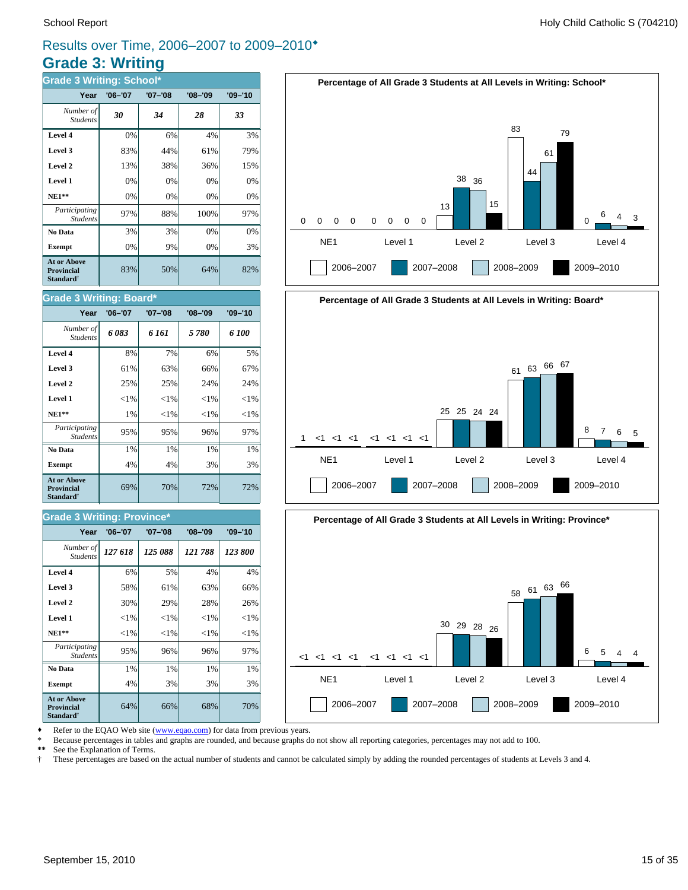### **Grade 3: Writing** Results over Time, 2006–2007 to 2009–2010®

| <b>Grade 3 Writing: School*</b>                                         |             |             |             |             |  |  |
|-------------------------------------------------------------------------|-------------|-------------|-------------|-------------|--|--|
| Year                                                                    | $'06 - '07$ | $'07 - '08$ | $'08 - '09$ | $'09 - '10$ |  |  |
| Number of<br><b>Students</b>                                            | 30          | 34          | 28          | 33          |  |  |
| Level 4                                                                 | 0%          | 6%          | 4%          | 3%          |  |  |
| Level 3                                                                 | 83%         | 44%         | 61%         | 79%         |  |  |
| Level 2                                                                 | 13%         | 38%         | 36%         | 15%         |  |  |
| Level 1                                                                 | 0%          | 0%          | 0%          | 0%          |  |  |
| $NE1**$                                                                 | 0%          | 0%          | 0%          | 0%          |  |  |
| Participating<br><b>Students</b>                                        | 97%         | 88%         | 100%        | 97%         |  |  |
| No Data                                                                 | 3%          | 3%          | 0%          | 0%          |  |  |
| <b>Exempt</b>                                                           | 0%          | 9%          | 0%          | 3%          |  |  |
| <b>At or Above</b><br><b>Provincial</b><br><b>Standard</b> <sup>†</sup> | 83%         | 50%         | 64%         | 82%         |  |  |

#### School Report **Example 2** and the set of the set of the set of the set of the set of the set of the set of the set of the set of the set of the set of the set of the set of the set of the set of the set of the set of the s



## **Percentage of All Grade 3 Students at All Levels in Writing: Board\*** NE1 Level 1 Level 2 Level 3 Level 4 1 2006–2007 2007–2008 2008–2009 2009–2010 <1 <1 <1 <1 <1 <1 <1 25 25 24 24 <sup>61</sup> <sup>63</sup> <sup>66</sup> <sup>67</sup> 8 7 6 5



Refer to the EQAO Web site (www.eqao.com) for data from previous years.

**Exempt**  $\begin{vmatrix} 4\% & 3\% \end{vmatrix}$  3% 3% 3% **No Data**  $\begin{array}{|c|c|c|c|} \hline \textbf{No Data} & 1\% & 1\% & 1\% \hline \end{array}$ *Participating* 95% 96% 96% 97%

**NE1\*\***  $\| \le 1\% \| \le 1\% \| \le 1\% \| \le 1\%$  **Level 1** <1% <1% <1% <1% **Level 2**  $\begin{array}{|c|c|c|c|} \hline \end{array}$  29% 28% 26% **Level 3**  $\begin{vmatrix} 58\% & 61\% & 63\% \end{vmatrix}$  63% 66% **Level 4 6%** 5% 4% 4%

64% 66% 68% 70%

69% 70% 72% 72%

**Exempt**  $\begin{array}{|c|c|c|c|} \hline \end{array}$  4% 4% 3% 3% **No Data**  $\begin{array}{|c|c|c|c|} \hline \textbf{No Data} & 1\% & 1\% & 1\% \hline \end{array}$ *Participating* 95% 95% 96% 97%

*127 618 125 088 121 788 123 800 Number of*

**Year '06–'07 '07–'08 '08–'09 '09–'10**

**NE1\*\***  $\parallel$  1% <1% <1% <1% <1% **Level 1**  $\left| \begin{array}{c} | & | & | \leq 1\% & | & | \leq 1\% & | \leq 1\% & | \end{array} \right|$ **Level 2**  $\begin{vmatrix} 25\% & 25\% \end{vmatrix}$  24% 24% **Level 3**  $\begin{vmatrix} 61\% & 63\% \end{vmatrix}$  66% 67% **Level 4** 8% 7% 6% 5% *6 083 6 161 5 780 6 100 Number of*

**Year '06–'07 '07–'08 '08–'09 '09–'10**

\* Because percentages in tables and graphs are rounded, and because graphs do not show all reporting categories, percentages may not add to 100.

**\*\*** See the Explanation of Terms.

*Student* 

**At or Above Provincial Standard**†

*Students*

**Grade 3 Writing: Province\***

Students

**At or Above Provincial Standard**†

Student.

**Grade 3 Writing: Board\***

† These percentages are based on the actual number of students and cannot be calculated simply by adding the rounded percentages of students at Levels 3 and 4.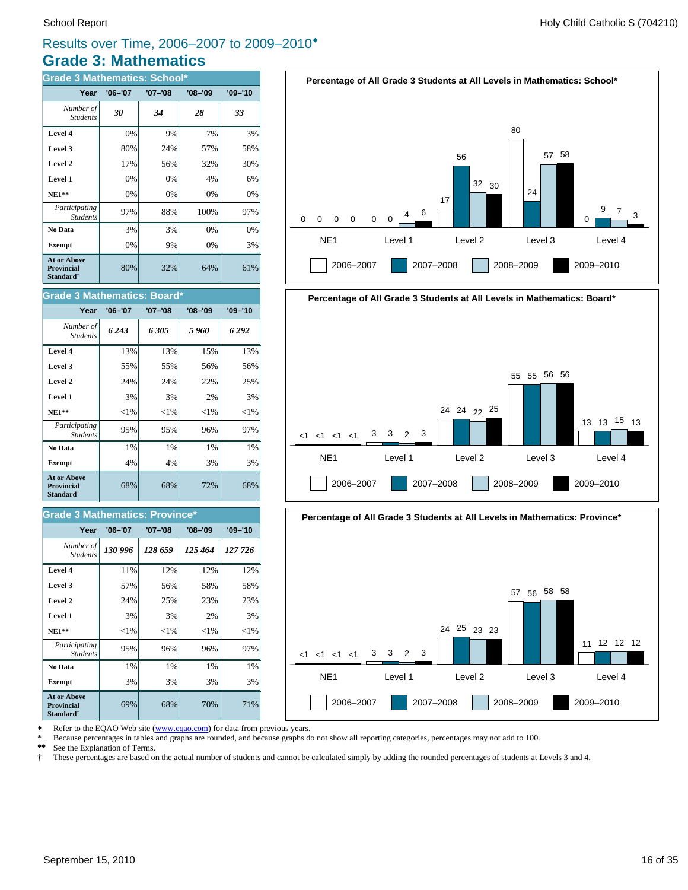### **Grade 3: Mathematics** Results over Time, 2006–2007 to 2009–2010®

| <b>Grade 3 Mathematics: School*</b>                                     |             |         |             |             |  |
|-------------------------------------------------------------------------|-------------|---------|-------------|-------------|--|
| Year                                                                    | $'06 - '07$ | '07-'08 | $'08 - '09$ | $'09 - '10$ |  |
| Number of<br><b>Students</b>                                            | 30          | 34      | 28          | 33          |  |
| Level 4                                                                 | 0%          | 9%      | 7%          | 3%          |  |
| Level 3                                                                 | 80%         | 24%     | 57%         | 58%         |  |
| Level 2                                                                 | 17%         | 56%     | 32%         | 30%         |  |
| Level 1                                                                 | 0%          | 0%      | 4%          | 6%          |  |
| $NE1**$                                                                 | 0%          | 0%      | 0%          | 0%          |  |
| Participating<br><b>Students</b>                                        | 97%         | 88%     | 100%        | 97%         |  |
| No Data                                                                 | 3%          | 3%      | 0%          | 0%          |  |
| <b>Exempt</b>                                                           | 0%          | 9%      | 0%          | 3%          |  |
| <b>At or Above</b><br><b>Provincial</b><br><b>Standard</b> <sup>†</sup> | 80%         | 32%     | 64%         | 61%         |  |

| <b>Grade 3 Mathematics: Board*</b>                               |             |          |             |             |  |
|------------------------------------------------------------------|-------------|----------|-------------|-------------|--|
| Year                                                             | $'06 - '07$ | '07-'08  | $'08 - '09$ | $'09 - '10$ |  |
| Number of<br><b>Students</b>                                     | 6243        | 6305     | 5960        | 6292        |  |
| Level 4                                                          | 13%         | 13%      | 15%         | 13%         |  |
| Level 3                                                          | 55%         | 55%      | 56%         | 56%         |  |
| Level 2                                                          | 24%         | 24%      | 22%         | 25%         |  |
| Level 1                                                          | 3%          | 3%       | 2%          | 3%          |  |
| $NE1**$                                                          | ${<}1\%$    | ${<}1\%$ | ${<}1%$     | ${<}1\%$    |  |
| Participating<br><b>Students</b>                                 | 95%         | 95%      | 96%         | 97%         |  |
| No Data                                                          | 1%          | 1%       | 1%          | 1%          |  |
| <b>Exempt</b>                                                    | 4%          | 4%       | 3%          | 3%          |  |
| At or Above<br><b>Provincial</b><br><b>Standard</b> <sup>†</sup> | 68%         | 68%      | 72%         | 68%         |  |

#### **Grade 3 Mathematics: Province\***

| Year                                                                    | $'06 - '07$ | $'07 - '08$ | $'08 - '09$ | $'09 - '10$ |
|-------------------------------------------------------------------------|-------------|-------------|-------------|-------------|
| Number of<br><b>Students</b>                                            | 130 996     | 128 659     | 125 464     | 127 726     |
| Level 4                                                                 | 11%         | 12%         | 12%         | 12%         |
| Level 3                                                                 | 57%         | 56%         | 58%         | 58%         |
| Level 2                                                                 | 24%         | 25%         | 23%         | 23%         |
| Level 1                                                                 | 3%          | 3%          | 2%          | 3%          |
| $NE1**$                                                                 | ${<}1\%$    | ${<}1\%$    | ${<}1\%$    | ${<}1\%$    |
| <i>Participating</i><br><b>Students</b>                                 | 95%         | 96%         | 96%         | 97%         |
| No Data                                                                 | 1%          | 1%          | 1%          | 1%          |
| <b>Exempt</b>                                                           | 3%          | 3%          | 3%          | 3%          |
| <b>At or Above</b><br><b>Provincial</b><br><b>Standard</b> <sup>†</sup> | 69%         | 68%         | 70%         | 71%         |







Refer to the EQAO Web site (www.eqao.com) for data from previous years.

\* Because percentages in tables and graphs are rounded, and because graphs do not show all reporting categories, percentages may not add to 100.<br>\*\* See the Explanation of Terms

\*\* See the Explanation of Terms.<br><sup>†</sup> These percentages are based on

† These percentages are based on the actual number of students and cannot be calculated simply by adding the rounded percentages of students at Levels 3 and 4.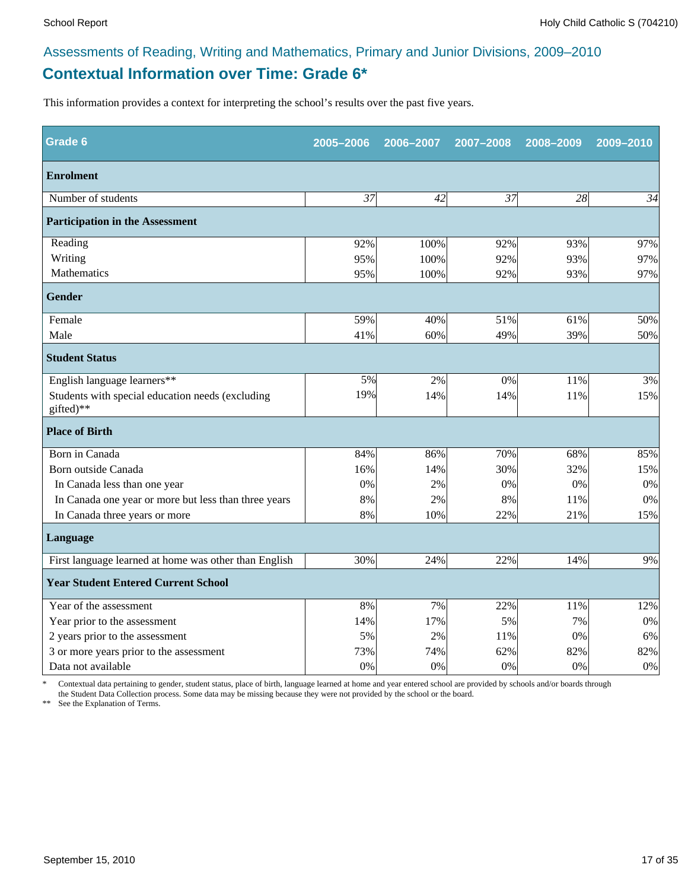### **Contextual Information over Time: Grade 6\*** Assessments of Reading, Writing and Mathematics, Primary and Junior Divisions, 2009–2010

This information provides a context for interpreting the school's results over the past five years.

| Grade 6                                                       | 2005-2006 | 2006-2007 | 2007-2008 | 2008-2009 | 2009-2010 |
|---------------------------------------------------------------|-----------|-----------|-----------|-----------|-----------|
| <b>Enrolment</b>                                              |           |           |           |           |           |
| Number of students                                            | 37        | 42        | 37        | 28        | 34        |
| <b>Participation in the Assessment</b>                        |           |           |           |           |           |
| Reading                                                       | 92%       | 100%      | 92%       | 93%       | 97%       |
| Writing                                                       | 95%       | 100%      | 92%       | 93%       | 97%       |
| Mathematics                                                   | 95%       | 100%      | 92%       | 93%       | 97%       |
| Gender                                                        |           |           |           |           |           |
| Female                                                        | 59%       | 40%       | 51%       | 61%       | 50%       |
| Male                                                          | 41%       | 60%       | 49%       | 39%       | 50%       |
| <b>Student Status</b>                                         |           |           |           |           |           |
| English language learners**                                   | 5%        | 2%        | 0%        | 11%       | 3%        |
| Students with special education needs (excluding<br>gifted)** | 19%       | 14%       | 14%       | 11%       | 15%       |
| <b>Place of Birth</b>                                         |           |           |           |           |           |
| Born in Canada                                                | 84%       | 86%       | 70%       | 68%       | 85%       |
| Born outside Canada                                           | 16%       | 14%       | 30%       | 32%       | 15%       |
| In Canada less than one year                                  | 0%        | 2%        | 0%        | 0%        | 0%        |
| In Canada one year or more but less than three years          | 8%        | 2%        | 8%        | 11%       | 0%        |
| In Canada three years or more                                 | 8%        | 10%       | 22%       | 21%       | 15%       |
| Language                                                      |           |           |           |           |           |
| First language learned at home was other than English         | 30%       | 24%       | 22%       | 14%       | 9%        |
| <b>Year Student Entered Current School</b>                    |           |           |           |           |           |
| Year of the assessment                                        | 8%        | 7%        | 22%       | 11%       | 12%       |
| Year prior to the assessment                                  | 14%       | 17%       | 5%        | 7%        | 0%        |
| 2 years prior to the assessment                               | 5%        | 2%        | 11%       | 0%        | 6%        |
| 3 or more years prior to the assessment                       | 73%       | 74%       | 62%       | 82%       | 82%       |
| Data not available                                            | 0%        | 0%        | 0%        | 0%        | 0%        |

\* Contextual data pertaining to gender, student status, place of birth, language learned at home and year entered school are provided by schools and/or boards through the Student Data Collection process. Some data may be missing because they were not provided by the school or the board.

\*\* See the Explanation of Terms.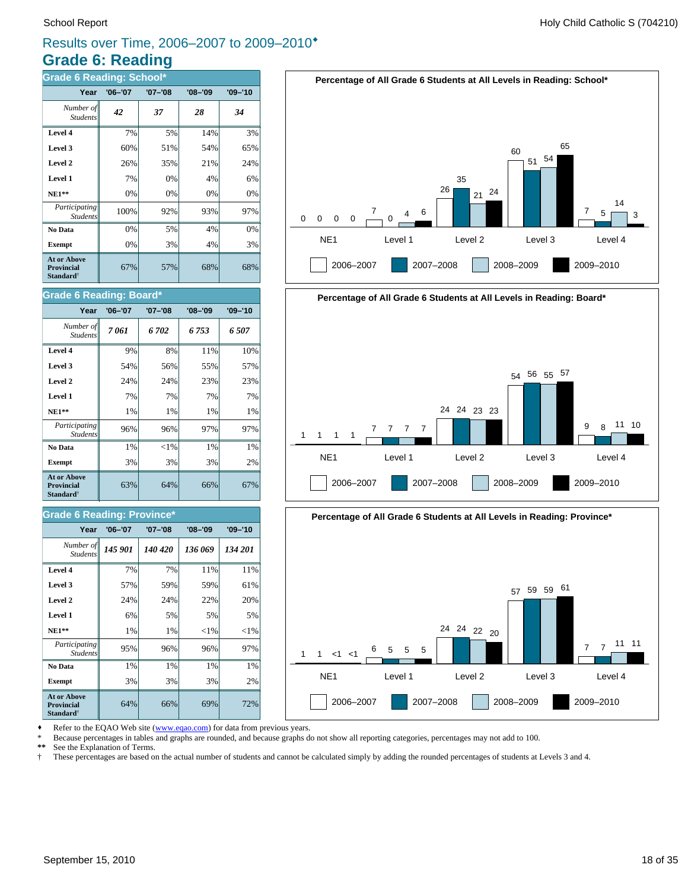### **Grade 6: Reading** Results over Time, 2006–2007 to 2009–2010®

| <b>Grade 6 Reading: School*</b>                                         |             |             |             |             |  |
|-------------------------------------------------------------------------|-------------|-------------|-------------|-------------|--|
| Year                                                                    | $'06 - '07$ | $'07 - '08$ | $'08 - '09$ | $'09 - '10$ |  |
| Number of<br><b>Students</b>                                            | 42          | 37          | 28          | 34          |  |
| Level 4                                                                 | 7%          | 5%          | 14%         | 3%          |  |
| Level 3                                                                 | 60%         | 51%         | 54%         | 65%         |  |
| Level 2                                                                 | 26%         | 35%         | 21%         | 24%         |  |
| Level 1                                                                 | 7%          | 0%          | 4%          | 6%          |  |
| $NE1**$                                                                 | 0%          | 0%          | 0%          | 0%          |  |
| Participating<br><b>Students</b>                                        | 100%        | 92%         | 93%         | 97%         |  |
| No Data                                                                 | 0%          | 5%          | 4%          | 0%          |  |
| <b>Exempt</b>                                                           | 0%          | 3%          | 4%          | 3%          |  |
| <b>At or Above</b><br><b>Provincial</b><br><b>Standard</b> <sup>†</sup> | 67%         | 57%         | 68%         | 68%         |  |







Refer to the EQAO Web site (www.eqao.com) for data from previous years.

\* Because percentages in tables and graphs are rounded, and because graphs do not show all reporting categories, percentages may not add to 100.

**\*\*** See the Explanation of Terms.

† These percentages are based on the actual number of students and cannot be calculated simply by adding the rounded percentages of students at Levels 3 and 4.

#### **Level 4** 9% 8% 11% 10% Student.

**Grade 6 Reading: Board\***

| <b>Exempt</b><br><b>At or Above</b><br><b>Provincial</b> | 3%<br>63% | 3%<br>64% | 3%<br>66% | 2%<br>67% |
|----------------------------------------------------------|-----------|-----------|-----------|-----------|
| No Data                                                  | 1%        | ${<}1\%$  | 1%        | 1%        |
| Participating<br><b>Students</b>                         | 96%       | 96%       | 97%       | 97%       |
| $NE1**$                                                  | 1%        | 1%        | $1\%$     | 1%        |
| Level 1                                                  | 7%        | 7%        | 7%        | 7%        |
| Level 2                                                  | 24%       | 24%       | 23%       | 23%       |
| Level 3                                                  | 54%       | 56%       | 55%       | 57%       |

*7 061 6 702 6 753 6 507 Number of*

**Year '06–'07 '07–'08 '08–'09 '09–'10**

#### **Grade 6 Reading: Province\***

| Year                                                                    | $'06 - '07$ | $'07 - '08$ | $'08 - '09$ | $'09 - '10$ |  |  |
|-------------------------------------------------------------------------|-------------|-------------|-------------|-------------|--|--|
| Number of<br><b>Students</b>                                            | 145 901     | 140 420     | 136 069     | 134 201     |  |  |
| Level 4                                                                 | 7%          | 7%          | 11%         | 11%         |  |  |
| Level 3                                                                 | 57%         | 59%         | 59%         | 61%         |  |  |
| Level 2                                                                 | 24%         | 24%         | 22%         | 20%         |  |  |
| Level 1                                                                 | 6%          | 5%          | 5%          | 5%          |  |  |
| $NE1**$                                                                 | 1%          | 1%          | ${<}1\%$    | ${<}1\%$    |  |  |
| Participating<br><b>Students</b>                                        | 95%         | 96%         | 96%         | 97%         |  |  |
| No Data                                                                 | 1%          | 1%          | 1%          | 1%          |  |  |
| <b>Exempt</b>                                                           | 3%          | 3%          | 3%          | 2%          |  |  |
| <b>At or Above</b><br><b>Provincial</b><br><b>Standard</b> <sup>†</sup> | 64%         | 66%         | 69%         | 72%         |  |  |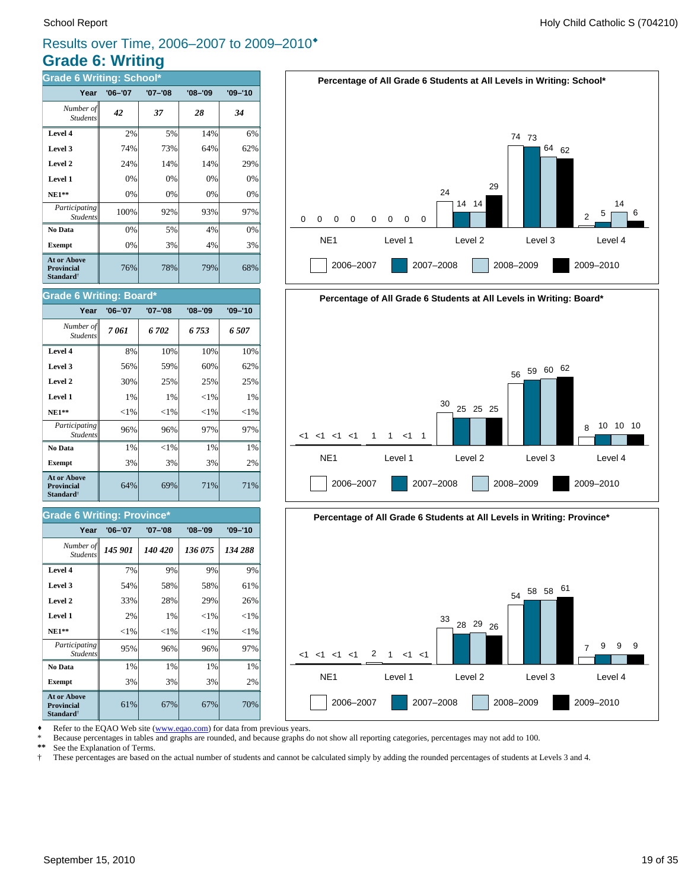### **Grade 6: Writing** Results over Time, 2006–2007 to 2009–2010®

| <b>Grade 6 Writing: School*</b>                                         |             |             |             |             |  |
|-------------------------------------------------------------------------|-------------|-------------|-------------|-------------|--|
| Year                                                                    | $'06 - '07$ | $'07 - '08$ | $'08 - '09$ | $'09 - '10$ |  |
| Number of<br><b>Students</b>                                            | 42          | 37          | 28          | 34          |  |
| Level 4                                                                 | 2%          | 5%          | 14%         | 6%          |  |
| Level 3                                                                 | 74%         | 73%         | 64%         | 62%         |  |
| Level 2                                                                 | 24%         | 14%         | 14%         | 29%         |  |
| Level 1                                                                 | 0%          | 0%          | 0%          | 0%          |  |
| $NE1**$                                                                 | 0%          | 0%          | 0%          | 0%          |  |
| Participating<br><b>Students</b>                                        | 100%        | 92%         | 93%         | 97%         |  |
| No Data                                                                 | 0%          | 5%          | 4%          | 0%          |  |
| <b>Exempt</b>                                                           | 0%          | 3%          | 4%          | 3%          |  |
| <b>At or Above</b><br><b>Provincial</b><br><b>Standard</b> <sup>†</sup> | 76%         | 78%         | 79%         | 68%         |  |

#### **Grade 6 Writing: Board\***

| Year                                                                    | $'06 - '07$ | '07-'08  | $'08 - '09$ | $'09 - '10$ |
|-------------------------------------------------------------------------|-------------|----------|-------------|-------------|
| Number of<br><b>Students</b>                                            | 7061        | 6 702    | 6 753       | 6 507       |
| Level 4                                                                 | 8%          | 10%      | 10%         | 10%         |
| Level 3                                                                 | 56%         | 59%      | 60%         | 62%         |
| Level 2                                                                 | 30%         | 25%      | 25%         | 25%         |
| Level 1                                                                 | 1%          | 1%       | ${<}1\%$    | 1%          |
| $NE1**$                                                                 | ${<}1\%$    | ${<}1\%$ | ${<}1\%$    | ${<}1\%$    |
| Participating<br><b>Students</b>                                        | 96%         | 96%      | 97%         | 97%         |
| No Data                                                                 | 1%          | ${<}1\%$ | 1%          | 1%          |
| <b>Exempt</b>                                                           | 3%          | 3%       | 3%          | 2%          |
| <b>At or Above</b><br><b>Provincial</b><br><b>Standard</b> <sup>†</sup> | 64%         | 69%      | 71%         | 71%         |

#### **Grade 6 Writing: Province\***

| Year                                                                    | '06–'07  | '07-'08  | $'08 - '09$ | $'09 - '10$ |
|-------------------------------------------------------------------------|----------|----------|-------------|-------------|
| Number of<br><b>Students</b>                                            | 145 901  | 140 420  | 136 075     | 134 288     |
| Level 4                                                                 | 7%       | 9%       | 9%          | 9%          |
| Level 3                                                                 | 54%      | 58%      | 58%         | 61%         |
| Level 2                                                                 | 33%      | 28%      | 29%         | 26%         |
| Level 1                                                                 | 2%       | 1%       | ${<}1\%$    | ${<}1\%$    |
| $NE1**$                                                                 | ${<}1\%$ | ${<}1\%$ | ${<}1\%$    | ${<}1\%$    |
| <i>Participating</i><br><b>Students</b>                                 | 95%      | 96%      | 96%         | 97%         |
| No Data                                                                 | 1%       | 1%       | 1%          | 1%          |
| <b>Exempt</b>                                                           | 3%       | 3%       | 3%          | 2%          |
| <b>At or Above</b><br><b>Provincial</b><br><b>Standard</b> <sup>†</sup> | 61%      | 67%      | 67%         | 70%         |







Refer to the EQAO Web site (www.eqao.com) for data from previous years.

\* Because percentages in tables and graphs are rounded, and because graphs do not show all reporting categories, percentages may not add to 100.<br>\*\* See the Explanation of Terms

\*\* See the Explanation of Terms.<br><sup>†</sup> These percentages are based on

† These percentages are based on the actual number of students and cannot be calculated simply by adding the rounded percentages of students at Levels 3 and 4.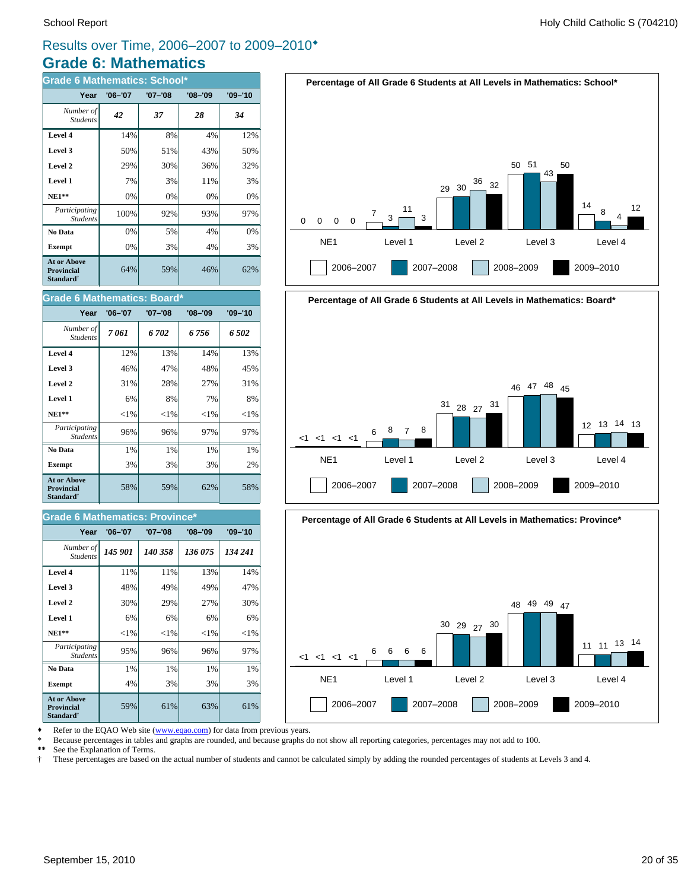12

### **Grade 6: Mathematics** Results over Time, 2006–2007 to 2009–2010®

| <b>Grade 6 Mathematics: School*</b>                                     |             |             |         |             |
|-------------------------------------------------------------------------|-------------|-------------|---------|-------------|
| Year                                                                    | $'06 - '07$ | $'07 - '08$ | '08–'09 | $'09 - '10$ |
| Number of<br><b>Students</b>                                            | 42          | 37          | 28      | 34          |
| Level 4                                                                 | 14%         | 8%          | 4%      | 12%         |
| Level 3                                                                 | 50%         | 51%         | 43%     | 50%         |
| Level 2                                                                 | 29%         | 30%         | 36%     | 32%         |
| Level 1                                                                 | 7%          | 3%          | 11%     | 3%          |
| $NE1**$                                                                 | 0%          | 0%          | 0%      | 0%          |
| Participating<br><b>Students</b>                                        | 100%        | 92%         | 93%     | 97%         |
| No Data                                                                 | 0%          | 5%          | 4%      | 0%          |
| <b>Exempt</b>                                                           | 0%          | 3%          | 4%      | 3%          |
| <b>At or Above</b><br><b>Provincial</b><br><b>Standard</b> <sup>†</sup> | 64%         | 59%         | 46%     | 62%         |





2006–2007 2007–2008 2008–2009 2009–2010



#### Refer to the EQAO Web site (www.eqao.com) for data from previous years.

\* Because percentages in tables and graphs are rounded, and because graphs do not show all reporting categories, percentages may not add to 100.

**\*\*** See the Explanation of Terms.

† These percentages are based on the actual number of students and cannot be calculated simply by adding the rounded percentages of students at Levels 3 and 4.

#### *7 061 6 702 6 756 6 502 Number of Students*

**Grade 6 Mathematics: Board\***

| 12%      | 13%      | 14%      | 13%      |
|----------|----------|----------|----------|
| 46%      | 47%      | 48%      | 45%      |
| 31%      | 28%      | 27%      | 31%      |
| 6%       | 8%       | 7%       | 8%       |
| ${<}1\%$ | ${<}1\%$ | ${<}1\%$ | ${<}1\%$ |
| 96%      | 96%      | 97%      | 97%      |
| 1%       | 1%       | 1%       | 1%       |
| 3%       | 3%       | 3%       | 2%       |
| 58%      | 59%      | 62%      | 58%      |
|          |          |          |          |

**Year '06–'07 '07–'08 '08–'09 '09–'10**

#### **Grade 6 Mathematics: Province\***

| Year                                                                    | $'06 - '07$ | $'07 - '08$ | $'08 - '09$ | $'09 - '10$ |
|-------------------------------------------------------------------------|-------------|-------------|-------------|-------------|
| Number of<br><b>Students</b>                                            | 145 901     | 140 358     | 136 075     | 134 241     |
| Level 4                                                                 | 11%         | 11%         | 13%         | 14%         |
| Level 3                                                                 | 48%         | 49%         | 49%         | 47%         |
| Level 2                                                                 | 30%         | 29%         | 27%         | 30%         |
| Level 1                                                                 | 6%          | 6%          | 6%          | 6%          |
| $NE1**$                                                                 | ${<}1\%$    | ${<}1\%$    | ${<}1\%$    | ${<}1\%$    |
| Participating<br><b>Students</b>                                        | 95%         | 96%         | 96%         | 97%         |
| No Data                                                                 | 1%          | 1%          | 1%          | 1%          |
| <b>Exempt</b>                                                           | 4%          | 3%          | 3%          | 3%          |
| <b>At or Above</b><br><b>Provincial</b><br><b>Standard</b> <sup>†</sup> | 59%         | 61%         | 63%         | 61%         |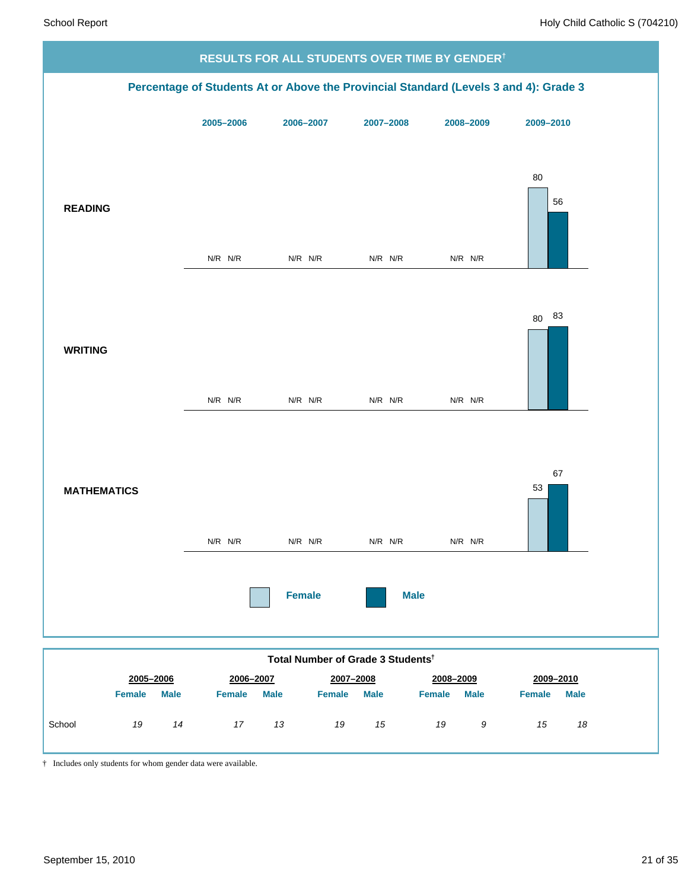

|        | $-000 - 0000$ |             | $-000 - 000$  |             | $-001 - 0000$ |             | $-000 - 000$  |             | ---- -- -     |      |
|--------|---------------|-------------|---------------|-------------|---------------|-------------|---------------|-------------|---------------|------|
|        | <b>Female</b> | <b>Male</b> | <b>Female</b> | <b>Male</b> | <b>Female</b> | <b>Male</b> | <b>Female</b> | <b>Male</b> | <b>Female</b> | Male |
| School | 19            | 14          | 17            | 13          | 19            | 15          | 19            | 9           | 15            | 18   |

† Includes only students for whom gender data were available.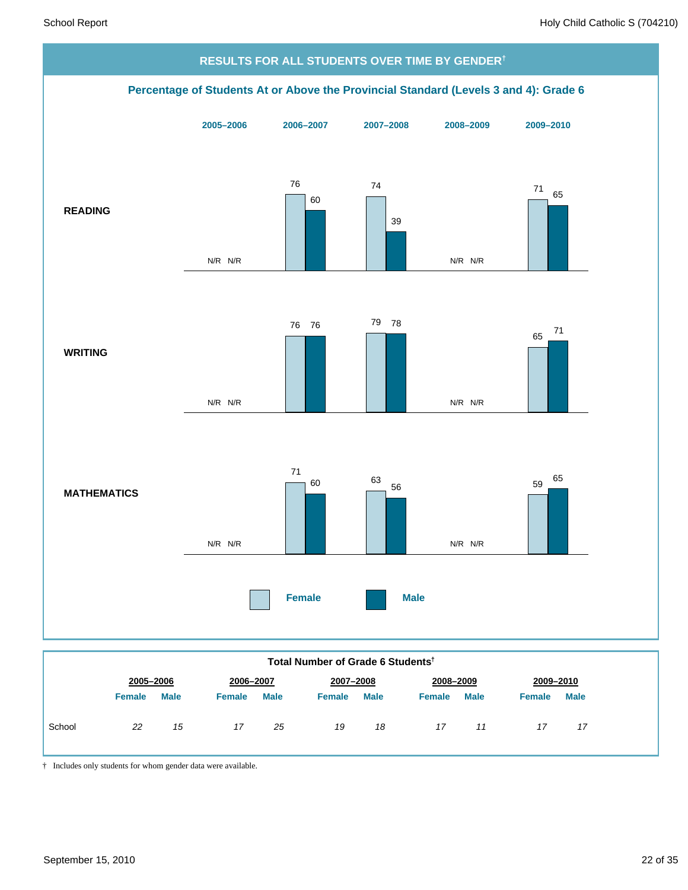

|        | 2005-2006<br>2006-2007 |             | 2007-2008     |             | 2008-2009     |             |               | 2009-2010   |               |             |
|--------|------------------------|-------------|---------------|-------------|---------------|-------------|---------------|-------------|---------------|-------------|
|        | <b>Female</b>          | <b>Male</b> | <b>Female</b> | <b>Male</b> | <b>Female</b> | <b>Male</b> | <b>Female</b> | <b>Male</b> | <b>Female</b> | <b>Male</b> |
| School | 22                     | 15          | 17            | 25          | 19            | 18          | 17            | 11          | 17            | 17          |

† Includes only students for whom gender data were available.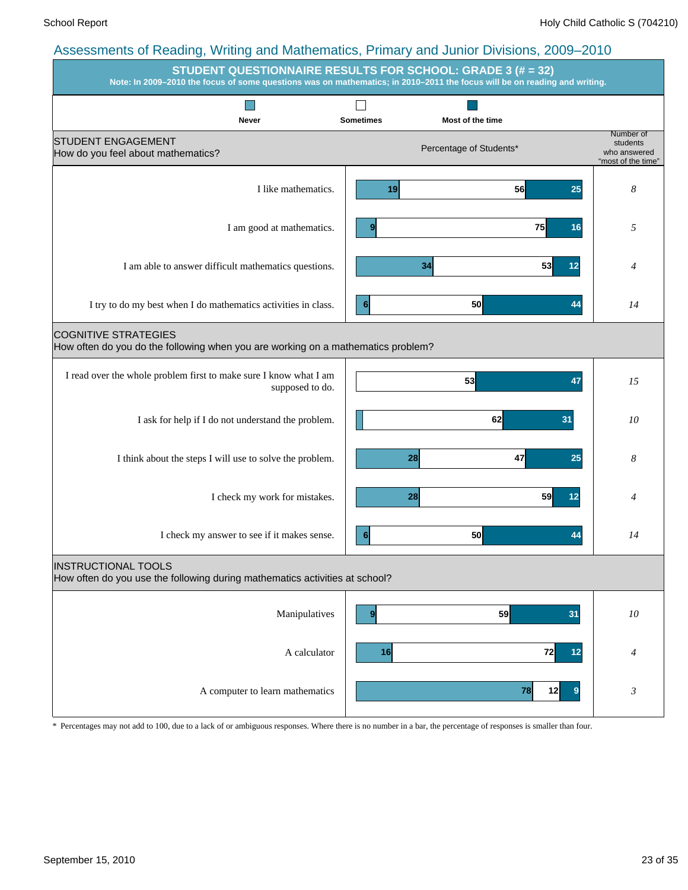|                                                                                                                 | <b>STUDENT QUESTIONNAIRE RESULTS FOR SCHOOL: GRADE 3 (# = 32)</b><br>Note: In 2009-2010 the focus of some questions was on mathematics; in 2010-2011 the focus will be on reading and writing. |                                                             |
|-----------------------------------------------------------------------------------------------------------------|------------------------------------------------------------------------------------------------------------------------------------------------------------------------------------------------|-------------------------------------------------------------|
| Never                                                                                                           | <b>Sometimes</b><br>Most of the time                                                                                                                                                           |                                                             |
| <b>STUDENT ENGAGEMENT</b><br>How do you feel about mathematics?                                                 | Percentage of Students*                                                                                                                                                                        | Number of<br>students<br>who answered<br>"most of the time" |
| I like mathematics.                                                                                             | 19<br>56<br>25                                                                                                                                                                                 | 8                                                           |
| I am good at mathematics.                                                                                       | 75<br>9<br>16                                                                                                                                                                                  | 5                                                           |
| I am able to answer difficult mathematics questions.                                                            | 53<br>34<br>12                                                                                                                                                                                 | 4                                                           |
| I try to do my best when I do mathematics activities in class.                                                  | 50<br>6 <sup>1</sup><br>44                                                                                                                                                                     | 14                                                          |
| <b>COGNITIVE STRATEGIES</b><br>How often do you do the following when you are working on a mathematics problem? |                                                                                                                                                                                                |                                                             |
| I read over the whole problem first to make sure I know what I am<br>supposed to do.                            | 53<br>47                                                                                                                                                                                       | 15                                                          |
| I ask for help if I do not understand the problem.                                                              | 62<br>31                                                                                                                                                                                       | 10                                                          |
| I think about the steps I will use to solve the problem.                                                        | 47<br>28<br>25                                                                                                                                                                                 | 8                                                           |
| I check my work for mistakes.                                                                                   | 59<br>28<br>12                                                                                                                                                                                 | 4                                                           |
| I check my answer to see if it makes sense.                                                                     | 50<br>44<br>6                                                                                                                                                                                  | 14                                                          |
| <b>INSTRUCTIONAL TOOLS</b><br>How often do you use the following during mathematics activities at school?       |                                                                                                                                                                                                |                                                             |
| Manipulatives                                                                                                   | 59<br>31<br>9                                                                                                                                                                                  | $10\,$                                                      |
| A calculator                                                                                                    | 16<br>72<br>12                                                                                                                                                                                 | $\overline{4}$                                              |
| A computer to learn mathematics                                                                                 | 78<br>12<br>9                                                                                                                                                                                  | $\mathfrak{Z}$                                              |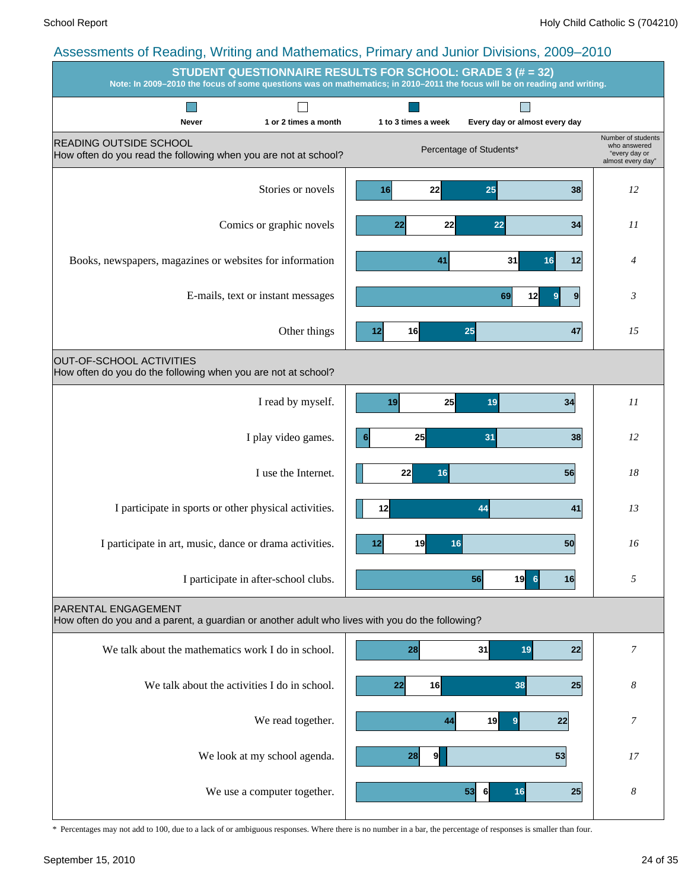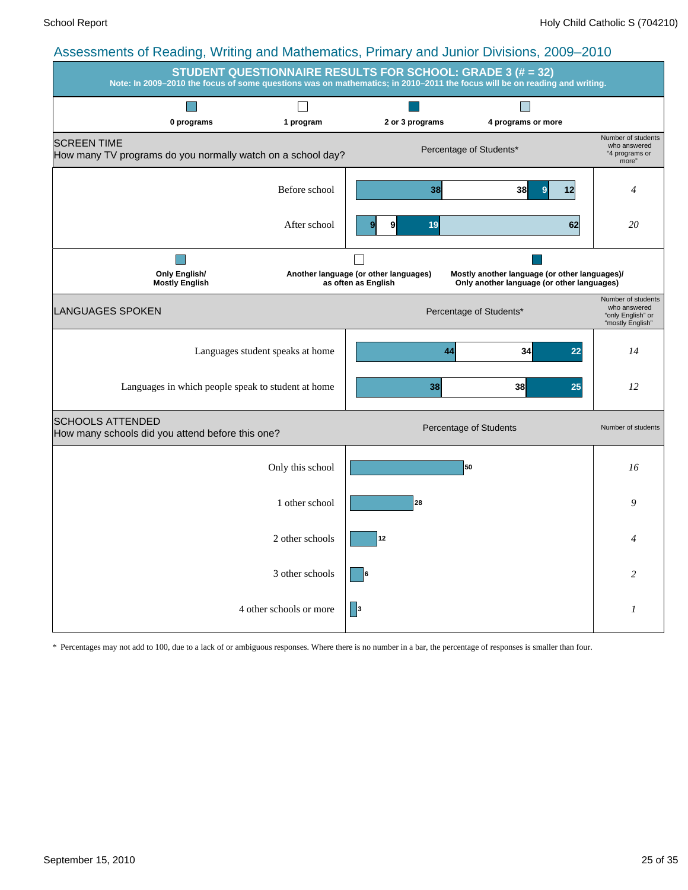| $\ldots, \ldots$<br>. 9                                                           |                                  |                                                              | STUDENT QUESTIONNAIRE RESULTS FOR SCHOOL: GRADE 3 (# = 32)<br>Note: In 2009-2010 the focus of some questions was on mathematics; in 2010-2011 the focus will be on reading and writing. |                                                                             |
|-----------------------------------------------------------------------------------|----------------------------------|--------------------------------------------------------------|-----------------------------------------------------------------------------------------------------------------------------------------------------------------------------------------|-----------------------------------------------------------------------------|
| 0 programs                                                                        | 1 program                        | 2 or 3 programs                                              | 4 programs or more                                                                                                                                                                      |                                                                             |
| <b>SCREEN TIME</b><br>How many TV programs do you normally watch on a school day? |                                  |                                                              | Percentage of Students*                                                                                                                                                                 | Number of students<br>who answered<br>"4 programs or<br>more"               |
|                                                                                   | Before school                    | 38                                                           | 38<br>12                                                                                                                                                                                | 4                                                                           |
|                                                                                   | After school                     | 9<br>19                                                      | 62                                                                                                                                                                                      | 20                                                                          |
| <b>Only English/</b><br><b>Mostly English</b>                                     |                                  | Another language (or other languages)<br>as often as English | Mostly another language (or other languages)/<br>Only another language (or other languages)                                                                                             |                                                                             |
| <b>LANGUAGES SPOKEN</b>                                                           |                                  |                                                              | Percentage of Students*                                                                                                                                                                 | Number of students<br>who answered<br>"only English" or<br>"mostly English" |
|                                                                                   | Languages student speaks at home |                                                              | 34<br>22<br>44                                                                                                                                                                          | 14                                                                          |
| Languages in which people speak to student at home                                |                                  | 38                                                           | 38<br>25                                                                                                                                                                                | 12                                                                          |
| <b>SCHOOLS ATTENDED</b><br>How many schools did you attend before this one?       |                                  |                                                              | Percentage of Students                                                                                                                                                                  | Number of students                                                          |
|                                                                                   | Only this school                 |                                                              | 50                                                                                                                                                                                      | 16                                                                          |
|                                                                                   | 1 other school                   | 28                                                           |                                                                                                                                                                                         | 9                                                                           |
|                                                                                   | 2 other schools                  | 12                                                           |                                                                                                                                                                                         | 4                                                                           |
|                                                                                   | 3 other schools                  |                                                              |                                                                                                                                                                                         | 2                                                                           |
|                                                                                   | 4 other schools or more          | 3                                                            |                                                                                                                                                                                         | 1                                                                           |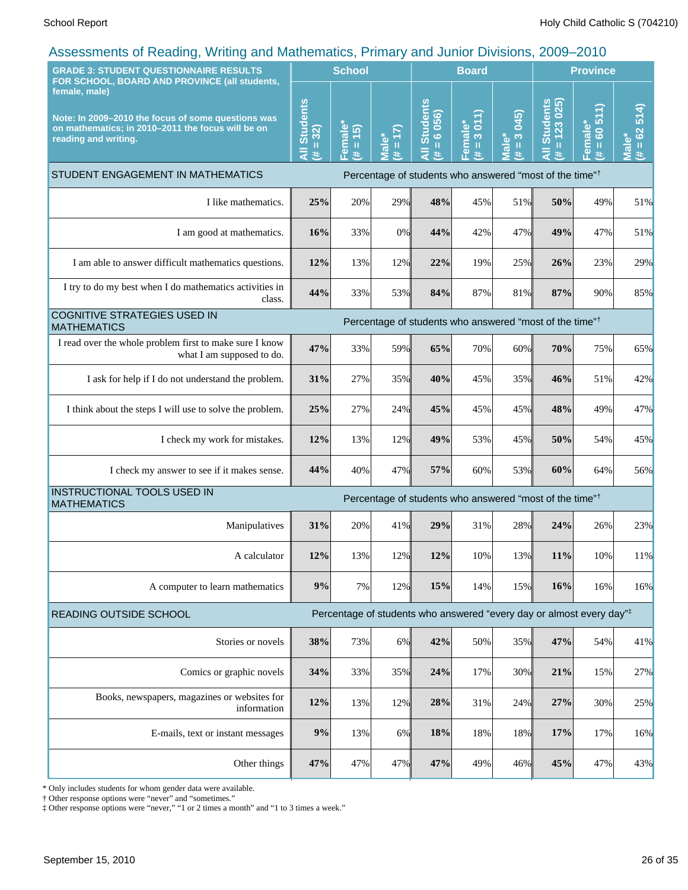| ship ne shi todan igi<br>. 9<br><b>GRADE 3: STUDENT QUESTIONNAIRE RESULTS</b>                                                                                                                     |                                    | <b>School</b>                           |                                     |                                                                                  | <b>Board</b>                      |                                            |                                              | <b>Province</b>                  |                                     |
|---------------------------------------------------------------------------------------------------------------------------------------------------------------------------------------------------|------------------------------------|-----------------------------------------|-------------------------------------|----------------------------------------------------------------------------------|-----------------------------------|--------------------------------------------|----------------------------------------------|----------------------------------|-------------------------------------|
| FOR SCHOOL, BOARD AND PROVINCE (all students,<br>female, male)<br>Note: In 2009-2010 the focus of some questions was<br>on mathematics; in 2010-2011 the focus will be on<br>reading and writing. | <b>All Students</b><br>$= 32$<br>共 | emale*<br>(5)<br>$\mathbf H$<br>巷<br>Œ. | (7)<br><b>Male*</b><br>$\rm H$<br>进 | <b>All Students</b><br>6 056)<br>$\rm I\hspace{-.1em}I$<br>进                     | 3011<br>Female*<br>$\rm{II}$<br>巷 | (245)<br>$\infty$<br>lale*<br>$\rm H$<br>共 | 123 025<br>All Students<br>$\mathbf{H}$<br>共 | 60511<br>Female*<br>$\rm H$<br>违 | 514<br>$= 62$<br><b>Male</b> *<br>进 |
| STUDENT ENGAGEMENT IN MATHEMATICS                                                                                                                                                                 |                                    |                                         |                                     | Percentage of students who answered "most of the time" <sup>†</sup>              |                                   |                                            |                                              |                                  |                                     |
| I like mathematics.                                                                                                                                                                               | 25%                                | 20%                                     | 29%                                 | 48%                                                                              | 45%                               | 51%                                        | 50%                                          | 49%                              | 51%                                 |
| I am good at mathematics.                                                                                                                                                                         | 16%                                | 33%                                     | $0\%$                               | 44%                                                                              | 42%                               | 47%                                        | 49%                                          | 47%                              | 51%                                 |
| I am able to answer difficult mathematics questions.                                                                                                                                              | 12%                                | 13%                                     | 12%                                 | 22%                                                                              | 19%                               | 25%                                        | 26%                                          | 23%                              | 29%                                 |
| I try to do my best when I do mathematics activities in<br>class.                                                                                                                                 | 44%                                | 33%                                     | 53%                                 | 84%                                                                              | 87%                               | 81%                                        | 87%                                          | 90%                              | 85%                                 |
| <b>COGNITIVE STRATEGIES USED IN</b><br><b>MATHEMATICS</b>                                                                                                                                         |                                    |                                         |                                     | Percentage of students who answered "most of the time" <sup>†</sup>              |                                   |                                            |                                              |                                  |                                     |
| I read over the whole problem first to make sure I know<br>what I am supposed to do.                                                                                                              | 47%                                | 33%                                     | 59%                                 | 65%                                                                              | 70%                               | 60%                                        | 70%                                          | 75%                              | 65%                                 |
| I ask for help if I do not understand the problem.                                                                                                                                                | 31%                                | 27%                                     | 35%                                 | 40%                                                                              | 45%                               | 35%                                        | 46%                                          | 51%                              | 42%                                 |
| I think about the steps I will use to solve the problem.                                                                                                                                          | 25%                                | 27%                                     | 24%                                 | 45%                                                                              | 45%                               | 45%                                        | 48%                                          | 49%                              | 47%                                 |
| I check my work for mistakes.                                                                                                                                                                     | 12%                                | 13%                                     | 12%                                 | 49%                                                                              | 53%                               | 45%                                        | 50%                                          | 54%                              | 45%                                 |
| I check my answer to see if it makes sense.                                                                                                                                                       | 44%                                | 40%                                     | 47%                                 | 57%                                                                              | 60%                               | 53%                                        | 60%                                          | 64%                              | 56%                                 |
| INSTRUCTIONAL TOOLS USED IN<br><b>MATHEMATICS</b>                                                                                                                                                 |                                    |                                         |                                     | Percentage of students who answered "most of the time" <sup>†</sup>              |                                   |                                            |                                              |                                  |                                     |
| Manipulatives                                                                                                                                                                                     | 31%                                | 20%                                     | 41%                                 | 29%                                                                              | 31%                               | 28%                                        | 24%                                          | 26%                              | 23%                                 |
| A calculator                                                                                                                                                                                      | 12%                                | 13%                                     | 12%                                 | 12%                                                                              | 10%                               | 13%                                        | 11%                                          | 10%                              | 11%                                 |
| A computer to learn mathematics                                                                                                                                                                   | 9%                                 | 7%                                      | 12%                                 | 15%                                                                              | 14%                               | 15%                                        | 16%                                          | 16%                              | 16%                                 |
| READING OUTSIDE SCHOOL                                                                                                                                                                            |                                    |                                         |                                     | Percentage of students who answered "every day or almost every day" <sup>‡</sup> |                                   |                                            |                                              |                                  |                                     |
| Stories or novels                                                                                                                                                                                 | 38%                                | 73%                                     | 6%                                  | 42%                                                                              | 50%                               | 35%                                        | 47%                                          | 54%                              | 41%                                 |
| Comics or graphic novels                                                                                                                                                                          | 34%                                | 33%                                     | 35%                                 | 24%                                                                              | 17%                               | 30%                                        | 21%                                          | 15%                              | 27%                                 |
| Books, newspapers, magazines or websites for<br>information                                                                                                                                       | 12%                                | 13%                                     | 12%                                 | 28%                                                                              | 31%                               | 24%                                        | 27%                                          | 30%                              | 25%                                 |
| E-mails, text or instant messages                                                                                                                                                                 | 9%                                 | 13%                                     | $6\%$                               | 18%                                                                              | 18%                               | 18%                                        | 17%                                          | 17%                              | 16%                                 |
| Other things                                                                                                                                                                                      | 47%                                | 47%                                     | 47%                                 | 47%                                                                              | 49%                               | 46%                                        | 45%                                          | 47%                              | 43%                                 |

\* Only includes students for whom gender data were available.

† Other response options were "never" and "sometimes."

‡ Other response options were "never," "1 or 2 times a month" and "1 to 3 times a week."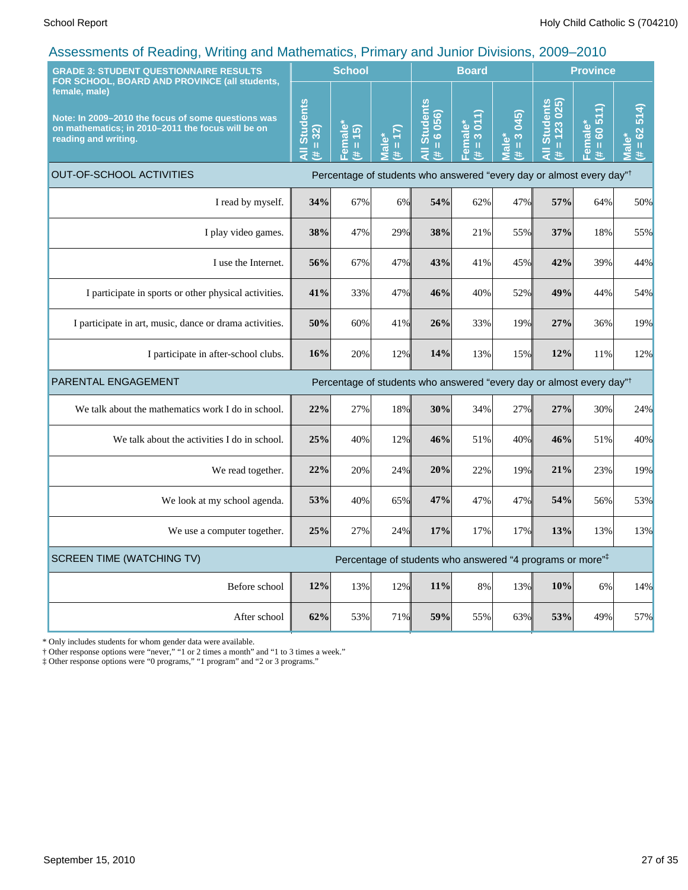| <b>GRADE 3: STUDENT QUESTIONNAIRE RESULTS</b><br>FOR SCHOOL, BOARD AND PROVINCE (all students,                                                   |                                      | <b>School</b>                             |                       |                                                                                  | <b>Board</b>                          |                                                                           | <b>Province</b>                                 |                                                                       |                                                            |
|--------------------------------------------------------------------------------------------------------------------------------------------------|--------------------------------------|-------------------------------------------|-----------------------|----------------------------------------------------------------------------------|---------------------------------------|---------------------------------------------------------------------------|-------------------------------------------------|-----------------------------------------------------------------------|------------------------------------------------------------|
| female, male)<br>Note: In 2009-2010 the focus of some questions was<br>on mathematics; in 2010-2011 the focus will be on<br>reading and writing. | <b>Students</b><br>$= 32$<br>Ę<br>¥. | <sup>≒</sup> emale*<br>(5)<br>$\,$ H<br>共 | $= 17$<br>Male*<br>Ħ. | <b>Students</b><br>6 056)<br>$\mathbf u$<br>$\bar{z}$<br>共                       | 3.011<br>Female*<br>$\mathbf{u}$<br>共 | 045)<br>$\frac{1}{3}$<br>$\mathbf{\underline{\omega}}$<br>$\bar{a}$<br>3k | <b>Students</b><br>$= 123025$<br>$\bar{a}$<br>共 | €<br>$\overline{5}$<br>Female*<br>$\overline{6}$<br>$\mathbf{u}$<br>共 | 514)<br>$(# = 62)$<br><u>ّه</u><br>$\overline{\mathbf{a}}$ |
| <b>OUT-OF-SCHOOL ACTIVITIES</b>                                                                                                                  |                                      |                                           |                       | Percentage of students who answered "every day or almost every day" <sup>†</sup> |                                       |                                                                           |                                                 |                                                                       |                                                            |
| I read by myself.                                                                                                                                | 34%                                  | 67%                                       | 6%                    | 54%                                                                              | 62%                                   | 47%                                                                       | 57%                                             | 64%                                                                   | 50%                                                        |
| I play video games.                                                                                                                              | 38%                                  | 47%                                       | 29%                   | 38%                                                                              | 21%                                   | 55%                                                                       | 37%                                             | 18%                                                                   | 55%                                                        |
| I use the Internet.                                                                                                                              | 56%                                  | 67%                                       | 47%                   | 43%                                                                              | 41%                                   | 45%                                                                       | 42%                                             | 39%                                                                   | 44%                                                        |
| I participate in sports or other physical activities.                                                                                            | 41%                                  | 33%                                       | 47%                   | 46%                                                                              | 40%                                   | 52%                                                                       | 49%                                             | 44%                                                                   | 54%                                                        |
| I participate in art, music, dance or drama activities.                                                                                          | 50%                                  | 60%                                       | 41%                   | 26%                                                                              | 33%                                   | 19%                                                                       | 27%                                             | 36%                                                                   | 19%                                                        |
| I participate in after-school clubs.                                                                                                             | 16%                                  | 20%                                       | 12%                   | 14%                                                                              | 13%                                   | 15%                                                                       | 12%                                             | 11%                                                                   | 12%                                                        |
| PARENTAL ENGAGEMENT                                                                                                                              |                                      |                                           |                       | Percentage of students who answered "every day or almost every day" <sup>†</sup> |                                       |                                                                           |                                                 |                                                                       |                                                            |
| We talk about the mathematics work I do in school.                                                                                               | 22%                                  | 27%                                       | 18%                   | 30%                                                                              | 34%                                   | 27%                                                                       | 27%                                             | 30%                                                                   | 24%                                                        |
| We talk about the activities I do in school.                                                                                                     | 25%                                  | 40%                                       | 12%                   | 46%                                                                              | 51%                                   | 40%                                                                       | 46%                                             | 51%                                                                   | 40%                                                        |
| We read together.                                                                                                                                | 22%                                  | 20%                                       | 24%                   | 20%                                                                              | 22%                                   | 19%                                                                       | 21%                                             | 23%                                                                   | 19%                                                        |
| We look at my school agenda.                                                                                                                     | 53%                                  | 40%                                       | 65%                   | 47%                                                                              | 47%                                   | 47%                                                                       | 54%                                             | 56%                                                                   | 53%                                                        |
| We use a computer together.                                                                                                                      | 25%                                  | 27%                                       | 24%                   | 17%                                                                              | 17%                                   | 17%                                                                       | 13%                                             | 13%                                                                   | 13%                                                        |
| <b>SCREEN TIME (WATCHING TV)</b>                                                                                                                 |                                      |                                           |                       | Percentage of students who answered "4 programs or more"#                        |                                       |                                                                           |                                                 |                                                                       |                                                            |
| Before school                                                                                                                                    | 12%                                  | 13%                                       | 12%                   | 11%                                                                              | $8\%$                                 | 13%                                                                       | 10%                                             | 6%                                                                    | 14%                                                        |
| After school                                                                                                                                     | 62%                                  | 53%                                       | 71%                   | 59%                                                                              | 55%                                   | 63%                                                                       | 53%                                             | 49%                                                                   | 57%                                                        |

\* Only includes students for whom gender data were available.

† Other response options were "never," "1 or 2 times a month" and "1 to 3 times a week."

‡ Other response options were "0 programs," "1 program" and "2 or 3 programs."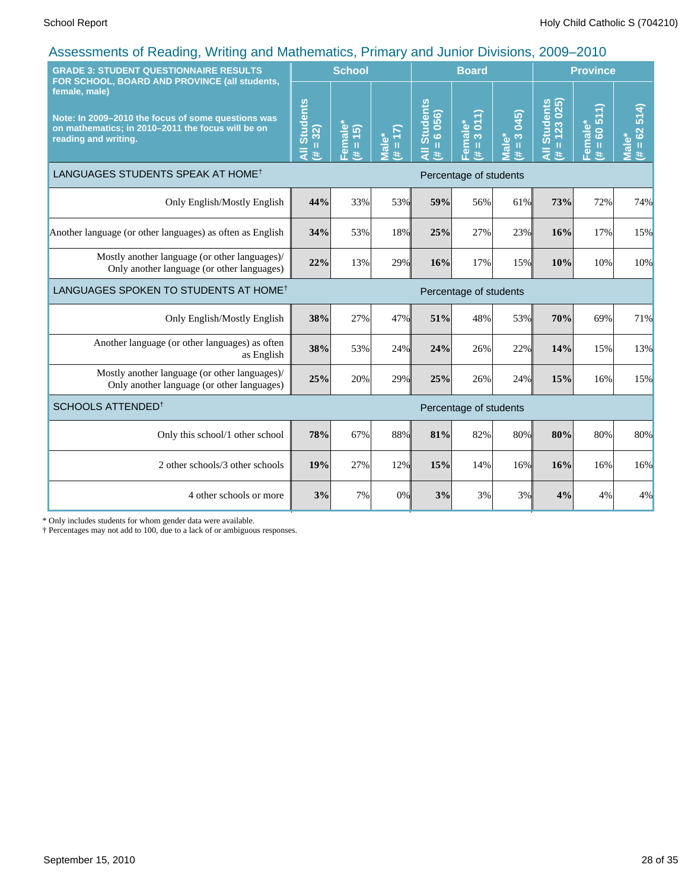| <b>GRADE 3: STUDENT QUESTIONNAIRE RESULTS</b><br>FOR SCHOOL, BOARD AND PROVINCE (all students,                                                   |                                                                      | <b>School</b>                                                                                                                                                                                   |               |                                      | <b>Board</b>              |                                      | <b>Province</b>                 |                                                                                                                                                                                           |                                     |
|--------------------------------------------------------------------------------------------------------------------------------------------------|----------------------------------------------------------------------|-------------------------------------------------------------------------------------------------------------------------------------------------------------------------------------------------|---------------|--------------------------------------|---------------------------|--------------------------------------|---------------------------------|-------------------------------------------------------------------------------------------------------------------------------------------------------------------------------------------|-------------------------------------|
| female, male)<br>Note: In 2009-2010 the focus of some questions was<br>on mathematics; in 2010-2011 the focus will be on<br>reading and writing. | <b>Students</b><br>32)<br>$\mathbf H$<br>$\overline{5}$<br>$\ddot{}$ | Female*<br>$\overline{5}$<br>$\mathbf{H}% =\mathbf{H}^{T}\mathbf{v}^{T}\mathbf{v}^{T}\mathbf{v}^{T}+\mathbf{H}^{T}\mathbf{v}^{T}\mathbf{v}^{T}+\mathbf{H}^{T}\mathbf{v}^{T}\mathbf{v}^{T}$<br># | (17)<br>Male* | <b>All Students</b><br>$= 6056$<br>共 | 3011<br>Female*<br>П<br># | 045)<br>$\frac{3}{2}$<br>Viale*<br>Ħ | $= 123025$<br>All Students<br>共 | 511<br>Female*<br>8<br>$\mathbf{H}% =\mathbf{H}^{T}\mathbf{v}^{T}\mathbf{v}^{T}\mathbf{v}^{T}+\mathbf{H}^{T}\mathbf{v}^{T}\mathbf{v}^{T}+\mathbf{H}^{T}\mathbf{v}^{T}\mathbf{v}^{T}$<br>共 | 514)<br>$= 62$<br><b>Male*</b><br>共 |
| LANGUAGES STUDENTS SPEAK AT HOME <sup>†</sup>                                                                                                    |                                                                      |                                                                                                                                                                                                 |               |                                      |                           | Percentage of students               |                                 |                                                                                                                                                                                           |                                     |
| Only English/Mostly English                                                                                                                      | 44%                                                                  | 33%                                                                                                                                                                                             | 53%           | 59%                                  | 56%                       | 61%                                  | 73%                             | 72%                                                                                                                                                                                       | 74%                                 |
| Another language (or other languages) as often as English                                                                                        | 34%                                                                  | 53%                                                                                                                                                                                             | 18%           | 25%                                  | 27%                       | 23%                                  | 16%                             | 17%                                                                                                                                                                                       | 15%                                 |
| Mostly another language (or other languages)/<br>Only another language (or other languages)                                                      | 22%                                                                  | 13%                                                                                                                                                                                             | 29%           | 16%                                  | 17%                       | 15%                                  | 10%                             | 10%                                                                                                                                                                                       | 10%                                 |
| LANGUAGES SPOKEN TO STUDENTS AT HOME <sup>†</sup>                                                                                                |                                                                      |                                                                                                                                                                                                 |               |                                      | Percentage of students    |                                      |                                 |                                                                                                                                                                                           |                                     |
| Only English/Mostly English                                                                                                                      | 38%                                                                  | 27%                                                                                                                                                                                             | 47%           | 51%                                  | 48%                       | 53%                                  | 70%                             | 69%                                                                                                                                                                                       | 71%                                 |
| Another language (or other languages) as often<br>as English                                                                                     | 38%                                                                  | 53%                                                                                                                                                                                             | 24%           | 24%                                  | 26%                       | 22%                                  | 14%                             | 15%                                                                                                                                                                                       | 13%                                 |
| Mostly another language (or other languages)/<br>Only another language (or other languages)                                                      | 25%                                                                  | 20%                                                                                                                                                                                             | 29%           | 25%                                  | 26%                       | 24%                                  | 15%                             | 16%                                                                                                                                                                                       | 15%                                 |
| SCHOOLS ATTENDED <sup>1</sup>                                                                                                                    |                                                                      |                                                                                                                                                                                                 |               |                                      | Percentage of students    |                                      |                                 |                                                                                                                                                                                           |                                     |
| Only this school/1 other school                                                                                                                  | 78%                                                                  | 67%                                                                                                                                                                                             | 88%           | 81%                                  | 82%                       | 80%                                  | 80%                             | 80%                                                                                                                                                                                       | 80%                                 |
| 2 other schools/3 other schools                                                                                                                  | 19%                                                                  | 27%                                                                                                                                                                                             | 12%           | 15%                                  | 14%                       | 16%                                  | 16%                             | 16%                                                                                                                                                                                       | 16%                                 |
| 4 other schools or more                                                                                                                          | 3%                                                                   | 7%                                                                                                                                                                                              | 0%            | 3%                                   | 3%                        | 3%                                   | 4%                              | 4%                                                                                                                                                                                        | 4%                                  |

\* Only includes students for whom gender data were available.

† Percentages may not add to 100, due to a lack of or ambiguous responses.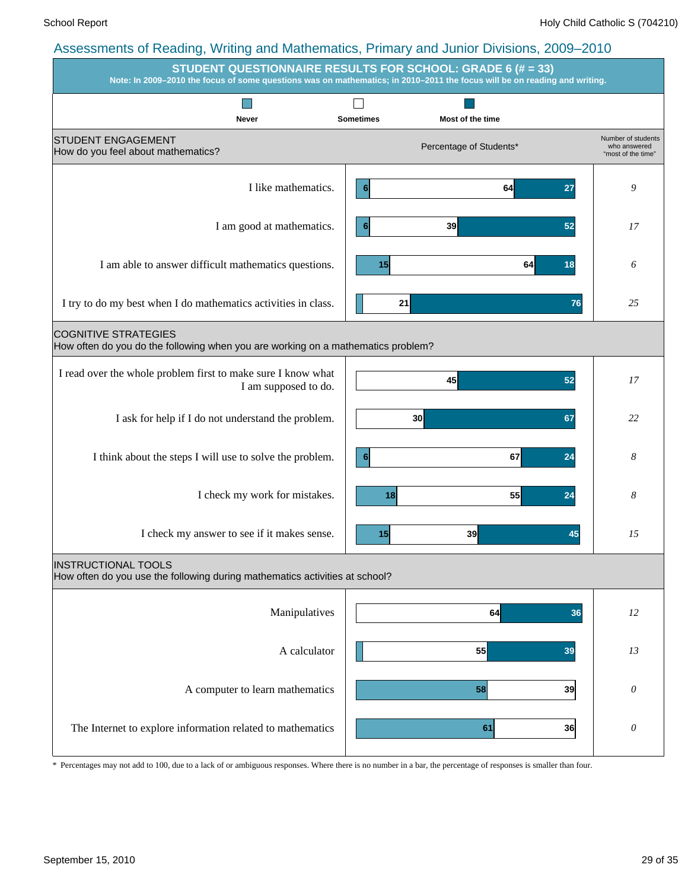|                                                                                                                 | $\ldots$ $\ldots$ $\ldots$ $\ldots$ $\ldots$ $\ldots$ $\ldots$ $\ldots$ $\ldots$ $\ldots$ $\ldots$ $\ldots$ $\ldots$ $\ldots$<br><b>STUDENT QUESTIONNAIRE RESULTS FOR SCHOOL: GRADE 6 (# = 33)</b><br>Note: In 2009-2010 the focus of some questions was on mathematics; in 2010-2011 the focus will be on reading and writing. |                                                          |
|-----------------------------------------------------------------------------------------------------------------|---------------------------------------------------------------------------------------------------------------------------------------------------------------------------------------------------------------------------------------------------------------------------------------------------------------------------------|----------------------------------------------------------|
|                                                                                                                 |                                                                                                                                                                                                                                                                                                                                 |                                                          |
| Never<br><b>STUDENT ENGAGEMENT</b><br>How do you feel about mathematics?                                        | <b>Sometimes</b><br>Most of the time<br>Percentage of Students*                                                                                                                                                                                                                                                                 | Number of students<br>who answered<br>"most of the time" |
| I like mathematics.                                                                                             | 64<br>27<br>$6\phantom{1}6$                                                                                                                                                                                                                                                                                                     | 9                                                        |
| I am good at mathematics.                                                                                       | 39<br>52                                                                                                                                                                                                                                                                                                                        | 17                                                       |
| I am able to answer difficult mathematics questions.                                                            | 15<br>64<br>18                                                                                                                                                                                                                                                                                                                  | 6                                                        |
| I try to do my best when I do mathematics activities in class.                                                  | 21<br>76                                                                                                                                                                                                                                                                                                                        | 25                                                       |
| <b>COGNITIVE STRATEGIES</b><br>How often do you do the following when you are working on a mathematics problem? |                                                                                                                                                                                                                                                                                                                                 |                                                          |
| I read over the whole problem first to make sure I know what<br>I am supposed to do.                            | 45<br>52                                                                                                                                                                                                                                                                                                                        | 17                                                       |
| I ask for help if I do not understand the problem.                                                              | 30<br>67                                                                                                                                                                                                                                                                                                                        | 22                                                       |
| I think about the steps I will use to solve the problem.                                                        | 67<br>24<br>$6\phantom{1}6$                                                                                                                                                                                                                                                                                                     | 8                                                        |
| I check my work for mistakes.                                                                                   | 55<br>18<br>24                                                                                                                                                                                                                                                                                                                  | 8                                                        |
| I check my answer to see if it makes sense.                                                                     | 39<br>15<br>45                                                                                                                                                                                                                                                                                                                  | 15                                                       |
| <b>INSTRUCTIONAL TOOLS</b><br>How often do you use the following during mathematics activities at school?       |                                                                                                                                                                                                                                                                                                                                 |                                                          |
| Manipulatives                                                                                                   | 64<br>36                                                                                                                                                                                                                                                                                                                        | 12                                                       |
| A calculator                                                                                                    | 55<br>39                                                                                                                                                                                                                                                                                                                        | 13                                                       |
| A computer to learn mathematics                                                                                 | 39<br>58                                                                                                                                                                                                                                                                                                                        | $\theta$                                                 |
| The Internet to explore information related to mathematics                                                      | 61<br>36                                                                                                                                                                                                                                                                                                                        | $\boldsymbol{\theta}$                                    |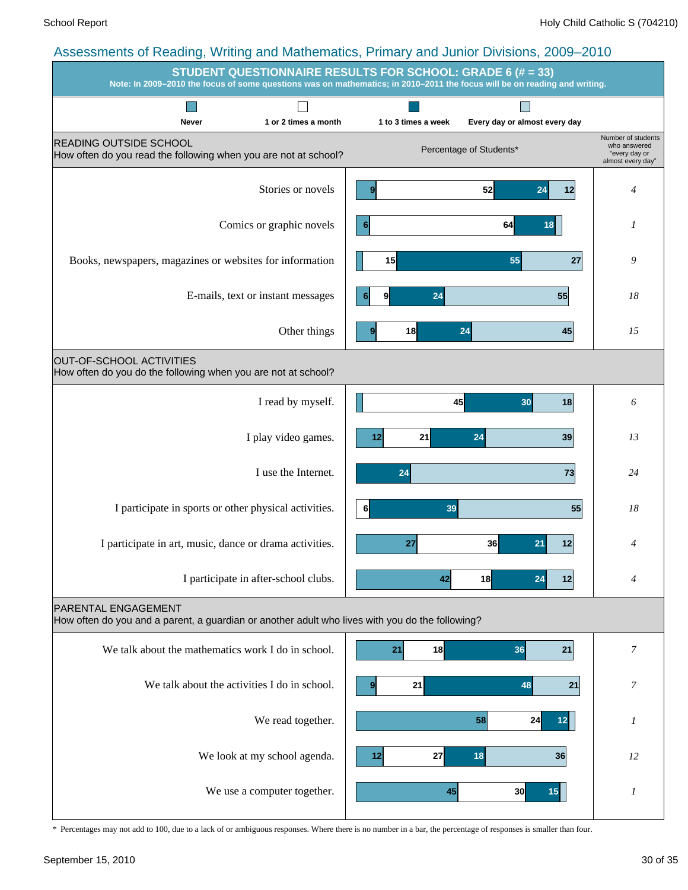#### Assessments of Reading, Writing and Mathematics, Primary and Junior Divisions, 2009–2010 **STUDENT QUESTIONNAIRE RESULTS FOR SCHOOL: GRADE 6 (# = 33) Note: In 2009–2010 the focus of some questions was on mathematics; in 2010–2011 the focus will be on reading and writing. Tall**  $\Box$  $\overline{\phantom{a}}$ **Never 1 or 2 times a month 1 to 3 times a week Every day or almost every day** Number of students READING OUTSIDE SCHOOL who answered Percentage of Students\* How often do you read the following when you are not at school? "every day or almost every day" Stories or novels **9 52 52 4 12 4 4 9 52 24 12** Comics or graphic novels **6 6 64 18 1 1 6 64 18** Books, newspapers, magazines or websites for information **9 15 15 16 16 16 16 17 17 1 16 17 18 15 55 27** E-mails, text or instant messages **18 18 18 18 18 18 18 6 9 24 55** Other things **9** 18 24 45 15 **9 18 24 45** OUT-OF-SCHOOL ACTIVITIES How often do you do the following when you are not at school? I read by myself. *6* **45 30 18** I play video games. **1 22 23 24 24 23 23 23** 23 **12 21 24 39** I use the Internet. *24* **24 73** I participate in sports or other physical activities. *18* **6 39 55** I participate in art, music, dance or drama activities. *4* **27 36 21 12** I participate in after-school clubs. **42 42 42 42 42 42 4 42 4 42 18 24 12** PARENTAL ENGAGEMENT How often do you and a parent, a guardian or another adult who lives with you do the following? We talk about the mathematics work I do in school.  $\begin{vmatrix} 1 & 21 \\ 2 & 18 \end{vmatrix}$  **7 7 21 21 7 21 18 36 21** We talk about the activities I do in school. **9** 21 21 48 21 7 **9 21 48 21** We read together. *1* **58 24 12** We look at my school agenda. **12 12 27 18 12 28 12 12 12 27 18 36** We use a computer together.  $\begin{vmatrix} 1 & 45 \\ 1 & 45 \end{vmatrix}$  and  $\begin{vmatrix} 1 & 1 \\ 1 & 45 \end{vmatrix}$  15 **45 30 15**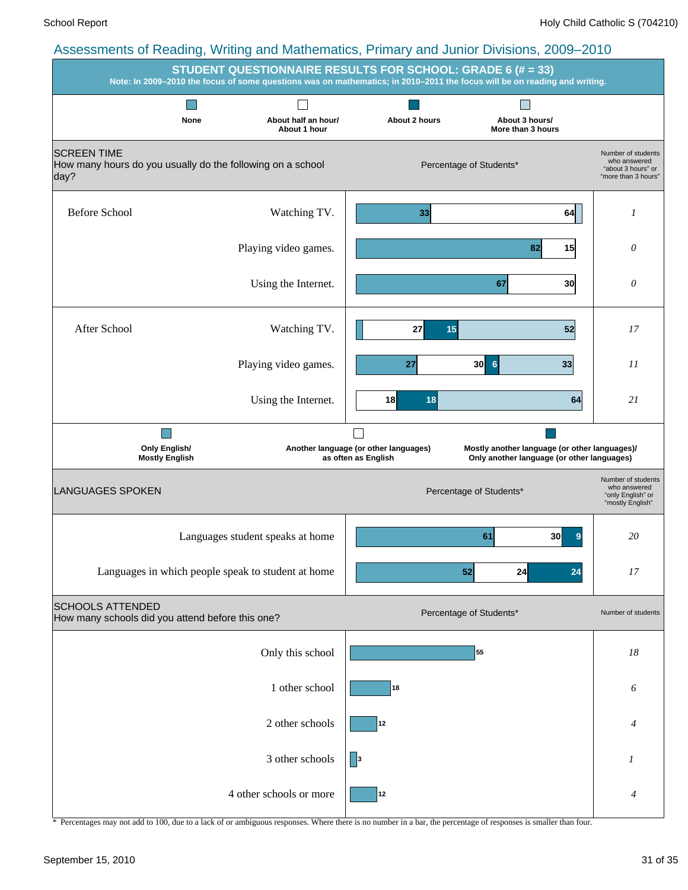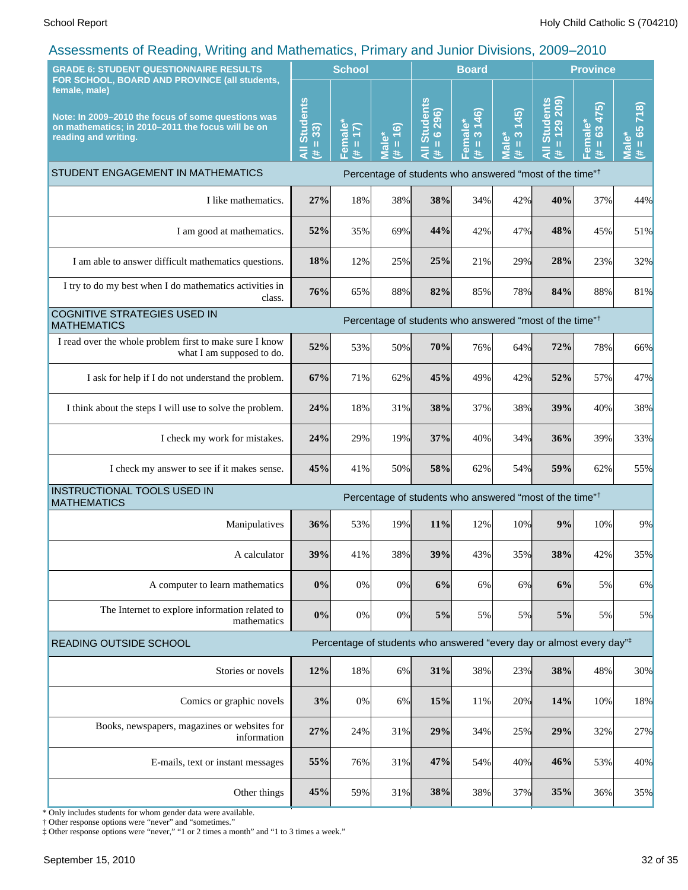| <b>GRADE 6: STUDENT QUESTIONNAIRE RESULTS</b><br>FOR SCHOOL, BOARD AND PROVINCE (all students,                                                   |                             | <b>School</b>                                                |                      |                                                                   | <b>Board</b>                           |                                                               |                                                                                  | <b>Province</b>                       |                                                                      |
|--------------------------------------------------------------------------------------------------------------------------------------------------|-----------------------------|--------------------------------------------------------------|----------------------|-------------------------------------------------------------------|----------------------------------------|---------------------------------------------------------------|----------------------------------------------------------------------------------|---------------------------------------|----------------------------------------------------------------------|
| female, male)<br>Note: In 2009-2010 the focus of some questions was<br>on mathematics; in 2010-2011 the focus will be on<br>reading and writing. | All Students<br>$= 33$<br>违 | <mark>=emale</mark> *<br>$\overline{17}$<br>$\, \, \Pi$<br>违 | $= 16$<br>Male*<br>进 | <b>Students</b><br>6 296)<br>$\mathbf{u}$<br>$\bar{\bar{z}}$<br>进 | 3 146)<br>Female*<br>$\mathbf{I}$<br>£ | (345)<br>$\infty$<br><b>Male*</b><br>$\mathbf \mathbf I$<br>B | Il Students<br>= 129 209)<br>₹<br>主                                              | 475)<br>Female*<br>63<br>$\rm H$<br>违 | 718)<br>$(# = 65)$<br>$\mathbf{\omega}$<br>$\overline{\overline{B}}$ |
| STUDENT ENGAGEMENT IN MATHEMATICS                                                                                                                |                             |                                                              |                      |                                                                   |                                        |                                                               | Percentage of students who answered "most of the time" <sup>†</sup>              |                                       |                                                                      |
| I like mathematics.                                                                                                                              | 27%                         | 18%                                                          | 38%                  | 38%                                                               | 34%                                    | 42%                                                           | 40%                                                                              | 37%                                   | 44%                                                                  |
| I am good at mathematics.                                                                                                                        | 52%                         | 35%                                                          | 69%                  | 44%                                                               | 42%                                    | 47%                                                           | 48%                                                                              | 45%                                   | 51%                                                                  |
| I am able to answer difficult mathematics questions.                                                                                             | 18%                         | 12%                                                          | 25%                  | 25%                                                               | 21%                                    | 29%                                                           | 28%                                                                              | 23%                                   | 32%                                                                  |
| I try to do my best when I do mathematics activities in<br>class.                                                                                | 76%                         | 65%                                                          | 88%                  | 82%                                                               | 85%                                    | 78%                                                           | 84%                                                                              | 88%                                   | 81%                                                                  |
| <b>COGNITIVE STRATEGIES USED IN</b><br><b>MATHEMATICS</b>                                                                                        |                             |                                                              |                      |                                                                   |                                        |                                                               | Percentage of students who answered "most of the time" <sup>†</sup>              |                                       |                                                                      |
| I read over the whole problem first to make sure I know<br>what I am supposed to do.                                                             | 52%                         | 53%                                                          | 50%                  | 70%                                                               | 76%                                    | 64%                                                           | 72%                                                                              | 78%                                   | 66%                                                                  |
| I ask for help if I do not understand the problem.                                                                                               | 67%                         | 71%                                                          | 62%                  | 45%                                                               | 49%                                    | 42%                                                           | 52%                                                                              | 57%                                   | 47%                                                                  |
| I think about the steps I will use to solve the problem.                                                                                         | 24%                         | 18%                                                          | 31%                  | 38%                                                               | 37%                                    | 38%                                                           | 39%                                                                              | 40%                                   | 38%                                                                  |
| I check my work for mistakes.                                                                                                                    | 24%                         | 29%                                                          | 19%                  | 37%                                                               | 40%                                    | 34%                                                           | 36%                                                                              | 39%                                   | 33%                                                                  |
| I check my answer to see if it makes sense.                                                                                                      | 45%                         | 41%                                                          | 50%                  | 58%                                                               | 62%                                    | 54%                                                           | 59%                                                                              | 62%                                   | 55%                                                                  |
| INSTRUCTIONAL TOOLS USED IN<br><b>MATHEMATICS</b>                                                                                                |                             |                                                              |                      |                                                                   |                                        |                                                               | Percentage of students who answered "most of the time" <sup>†</sup>              |                                       |                                                                      |
| Manipulatives                                                                                                                                    | 36%                         | 53%                                                          | 19%                  | 11%                                                               | 12%                                    | 10%                                                           | 9%                                                                               | 10%                                   | 9%                                                                   |
| A calculator                                                                                                                                     | 39%                         | 41%                                                          | 38%                  | 39%                                                               | 43%                                    | 35%                                                           | 38%                                                                              | 42%                                   | 35%                                                                  |
| A computer to learn mathematics                                                                                                                  | 0%                          | 0%                                                           | 0%                   | 6%                                                                | 6%                                     | 6%                                                            | 6%                                                                               | 5%                                    | 6%                                                                   |
| The Internet to explore information related to<br>mathematics                                                                                    | 0%                          | 0%                                                           | 0%                   | 5%                                                                | 5%                                     | 5%                                                            | 5%                                                                               | 5%                                    | $5\%$                                                                |
| READING OUTSIDE SCHOOL                                                                                                                           |                             |                                                              |                      |                                                                   |                                        |                                                               | Percentage of students who answered "every day or almost every day" <sup>‡</sup> |                                       |                                                                      |
| Stories or novels                                                                                                                                | 12%                         | 18%                                                          | $6\%$                | 31%                                                               | 38%                                    | 23%                                                           | 38%                                                                              | 48%                                   | 30%                                                                  |
| Comics or graphic novels                                                                                                                         | 3%                          | 0%                                                           | $6\%$                | 15%                                                               | 11%                                    | 20%                                                           | 14%                                                                              | 10%                                   | 18%                                                                  |
| Books, newspapers, magazines or websites for<br>information                                                                                      | 27%                         | 24%                                                          | 31%                  | 29%                                                               | 34%                                    | 25%                                                           | 29%                                                                              | 32%                                   | 27%                                                                  |
| E-mails, text or instant messages                                                                                                                | 55%                         | 76%                                                          | 31%                  | 47%                                                               | 54%                                    | 40%                                                           | 46%                                                                              | 53%                                   | 40%                                                                  |
| Other things                                                                                                                                     | 45%                         | 59%                                                          | 31%                  | 38%                                                               | 38%                                    | 37%                                                           | 35%                                                                              | 36%                                   | 35%                                                                  |

\* Only includes students for whom gender data were available.

† Other response options were "never" and "sometimes."

‡ Other response options were "never," "1 or 2 times a month" and "1 to 3 times a week."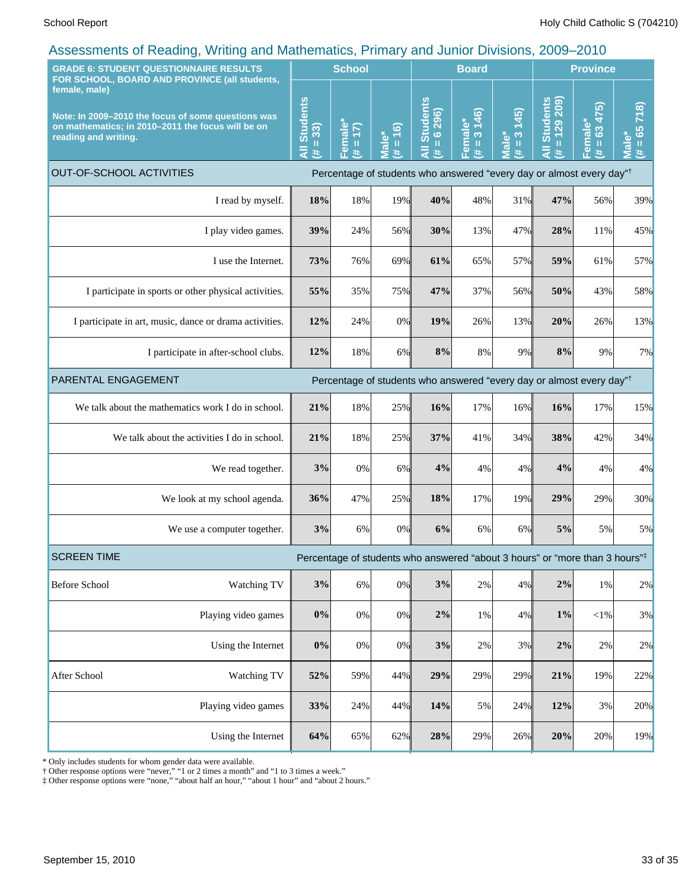| <b>GRADE 6: STUDENT QUESTIONNAIRE RESULTS</b><br>FOR SCHOOL, BOARD AND PROVINCE (all students,    |                                                                                                         | <b>School</b>                                                                    |                                                                                  |                                         | <b>Board</b>                                      |                                |                                                | <b>Province</b>                 |                                   |                                         |
|---------------------------------------------------------------------------------------------------|---------------------------------------------------------------------------------------------------------|----------------------------------------------------------------------------------|----------------------------------------------------------------------------------|-----------------------------------------|---------------------------------------------------|--------------------------------|------------------------------------------------|---------------------------------|-----------------------------------|-----------------------------------------|
| female, male)<br>reading and writing.                                                             | Note: In 2009-2010 the focus of some questions was<br>on mathematics; in 2010-2011 the focus will be on | <b>Students</b><br>33)<br>$\mathbf H$<br>₹<br>共                                  | Female<br>(1)<br>$\mathbf{H}$<br>违                                               | (9)<br><b>Male*</b><br>$\mathbf u$<br>违 | <b>All Students</b><br>296)<br>$\frac{6}{1}$<br>进 | 3 146)<br>Female*<br>(# = 3 14 | (45)<br>$\infty$<br>lale*<br>$\mathbf{I}$<br>违 | All Students<br>$= 129209$<br>违 | 475)<br>Female*<br>$\sharp = 634$ | 718<br>$= 65$<br>Male <sup>®</sup><br>违 |
| <b>OUT-OF-SCHOOL ACTIVITIES</b>                                                                   |                                                                                                         | Percentage of students who answered "every day or almost every day" <sup>†</sup> |                                                                                  |                                         |                                                   |                                |                                                |                                 |                                   |                                         |
| I read by myself.                                                                                 |                                                                                                         | 18%                                                                              | 18%                                                                              | 19%                                     | 40%                                               | 48%                            | 31%                                            | 47%                             | 56%                               | 39%                                     |
| I play video games.                                                                               |                                                                                                         | 39%                                                                              | 24%                                                                              | 56%                                     | 30%                                               | 13%                            | 47%                                            | 28%                             | 11%                               | 45%                                     |
| I use the Internet.                                                                               |                                                                                                         | 73%                                                                              | 76%                                                                              | 69%                                     | 61%                                               | 65%                            | 57%                                            | 59%                             | 61%                               | 57%                                     |
| I participate in sports or other physical activities.                                             |                                                                                                         | 55%                                                                              | 35%                                                                              | 75%                                     | 47%                                               | 37%                            | 56%                                            | 50%                             | 43%                               | 58%                                     |
| I participate in art, music, dance or drama activities.                                           |                                                                                                         | 12%                                                                              | 24%                                                                              | 0%                                      | 19%                                               | 26%                            | 13%                                            | 20%                             | 26%                               | 13%                                     |
| I participate in after-school clubs.                                                              |                                                                                                         | 12%                                                                              | 18%                                                                              | 6%                                      | 8%                                                | 8%                             | 9%                                             | 8%                              | 9%                                | 7%                                      |
| PARENTAL ENGAGEMENT                                                                               |                                                                                                         |                                                                                  | Percentage of students who answered "every day or almost every day" <sup>†</sup> |                                         |                                                   |                                |                                                |                                 |                                   |                                         |
| We talk about the mathematics work I do in school.                                                |                                                                                                         | 21%                                                                              | 18%                                                                              | 25%                                     | 16%                                               | 17%                            | 16%                                            | 16%                             | 17%                               | 15%                                     |
| We talk about the activities I do in school.                                                      |                                                                                                         | 21%                                                                              | 18%                                                                              | 25%                                     | 37%                                               | 41%                            | 34%                                            | 38%                             | 42%                               | 34%                                     |
| We read together.                                                                                 |                                                                                                         | 3%                                                                               | 0%                                                                               | 6%                                      | 4%                                                | 4%                             | 4%                                             | 4%                              | 4%                                | 4%                                      |
| We look at my school agenda.                                                                      |                                                                                                         | 36%                                                                              | 47%                                                                              | 25%                                     | 18%                                               | 17%                            | 19%                                            | 29%                             | 29%                               | 30%                                     |
| We use a computer together.                                                                       |                                                                                                         | 3%                                                                               | 6%                                                                               | 0%                                      | 6%                                                | 6%                             | 6%                                             | 5%                              | 5%                                | 5%                                      |
| <b>SCREEN TIME</b><br>Percentage of students who answered "about 3 hours" or "more than 3 hours"# |                                                                                                         |                                                                                  |                                                                                  |                                         |                                                   |                                |                                                |                                 |                                   |                                         |
| <b>Before School</b>                                                                              | Watching TV                                                                                             | $3\%$                                                                            | 6%                                                                               | 0%                                      | $3\%$                                             | 2%                             | 4%                                             | $2\%$                           | 1%                                | 2%                                      |
|                                                                                                   | Playing video games                                                                                     | $0\%$                                                                            | $0\%$                                                                            | 0%                                      | $2\%$                                             | 1%                             | 4%                                             | $1\%$                           | ${<}1\%$                          | 3%                                      |
|                                                                                                   | Using the Internet                                                                                      | $0\%$                                                                            | $0\%$                                                                            | 0%                                      | $3\%$                                             | 2%                             | 3%                                             | $2\%$                           | 2%                                | 2%                                      |
| After School                                                                                      | Watching TV                                                                                             | 52%                                                                              | 59%                                                                              | 44%                                     | 29%                                               | 29%                            | 29%                                            | 21%                             | 19%                               | 22%                                     |
| Playing video games                                                                               |                                                                                                         | 33%                                                                              | 24%                                                                              | 44%                                     | 14%                                               | 5%                             | 24%                                            | 12%                             | 3%                                | 20%                                     |
| Using the Internet                                                                                |                                                                                                         | 64%                                                                              | 65%                                                                              | 62%                                     | 28%                                               | 29%                            | 26%                                            | 20%                             | 20%                               | 19%                                     |

\* Only includes students for whom gender data were available.

† Other response options were "never," "1 or 2 times a month" and "1 to 3 times a week."

‡ Other response options were "none," "about half an hour," "about 1 hour" and "about 2 hours."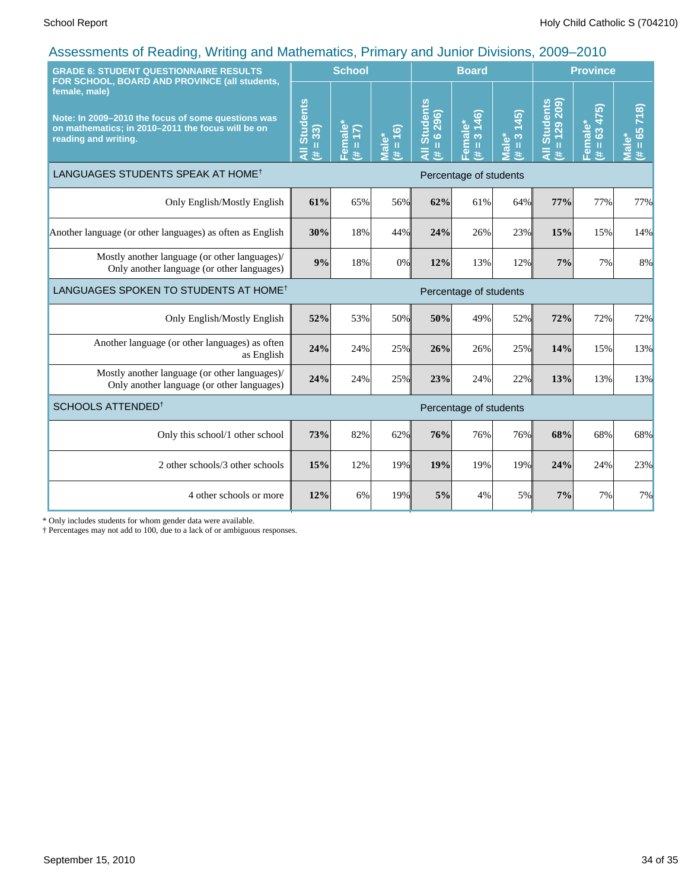| <b>GRADE 6: STUDENT QUESTIONNAIRE RESULTS</b><br>FOR SCHOOL, BOARD AND PROVINCE (all students,                                                   |                                     | <b>School</b>                                      |                      |                                               | <b>Board</b>           |                                                 |                                                                 | <b>Province</b>                                                                                                      |                                     |  |
|--------------------------------------------------------------------------------------------------------------------------------------------------|-------------------------------------|----------------------------------------------------|----------------------|-----------------------------------------------|------------------------|-------------------------------------------------|-----------------------------------------------------------------|----------------------------------------------------------------------------------------------------------------------|-------------------------------------|--|
| female, male)<br>Note: In 2009-2010 the focus of some questions was<br>on mathematics; in 2010-2011 the focus will be on<br>reading and writing. | <b>Students</b><br>$= 33$<br>Ę<br>Ħ | Female*<br>$\overline{\mathbf{E}}$<br>$\rm H$<br># | $(44 = 16)$<br>Male* | <b>Students</b><br>$= 6296$<br>$\bar{a}$<br>共 | Female*<br>(# = 3 146) | (45)<br>$\frac{3}{2}$<br>Male <sup>*</sup><br># | $= 129209$<br><b>Students</b><br>$\overline{\overline{z}}$<br>共 | 475)<br>Female*<br>63<br>$\mathbf{H}% _{0}\left( t\right) =\mathbf{H}_{0}\left( t\right) , \label{eq-qt:rel-}%$<br>共 | 718)<br>$= 65$<br><b>Male*</b><br>进 |  |
| LANGUAGES STUDENTS SPEAK AT HOME <sup>†</sup>                                                                                                    | Percentage of students              |                                                    |                      |                                               |                        |                                                 |                                                                 |                                                                                                                      |                                     |  |
| Only English/Mostly English                                                                                                                      | 61%                                 | 65%                                                | 56%                  | 62%                                           | 61%                    | 64%                                             | 77%                                                             | 77%                                                                                                                  | 77%                                 |  |
| Another language (or other languages) as often as English                                                                                        | 30%                                 | 18%                                                | 44%                  | 24%                                           | 26%                    | 23%                                             | 15%                                                             | 15%                                                                                                                  | 14%                                 |  |
| Mostly another language (or other languages)/<br>Only another language (or other languages)                                                      | 9%                                  | 18%                                                | 0%                   | 12%                                           | 13%                    | 12%                                             | 7%                                                              | 7%                                                                                                                   | 8%                                  |  |
| LANGUAGES SPOKEN TO STUDENTS AT HOME <sup>†</sup>                                                                                                |                                     | Percentage of students                             |                      |                                               |                        |                                                 |                                                                 |                                                                                                                      |                                     |  |
| Only English/Mostly English                                                                                                                      | 52%                                 | 53%                                                | 50%                  | 50%                                           | 49%                    | 52%                                             | 72%                                                             | 72%                                                                                                                  | 72%                                 |  |
| Another language (or other languages) as often<br>as English                                                                                     | 24%                                 | 24%                                                | 25%                  | 26%                                           | 26%                    | 25%                                             | 14%                                                             | 15%                                                                                                                  | 13%                                 |  |
| Mostly another language (or other languages)/<br>Only another language (or other languages)                                                      | 24%                                 | 24%                                                | 25%                  | 23%                                           | 24%                    | 22%                                             | 13%                                                             | 13%                                                                                                                  | 13%                                 |  |
| SCHOOLS ATTENDED <sup>+</sup>                                                                                                                    | Percentage of students              |                                                    |                      |                                               |                        |                                                 |                                                                 |                                                                                                                      |                                     |  |
| Only this school/1 other school                                                                                                                  | 73%                                 | 82%                                                | 62%                  | 76%                                           | 76%                    | 76%                                             | 68%                                                             | 68%                                                                                                                  | 68%                                 |  |
| 2 other schools/3 other schools                                                                                                                  | 15%                                 | 12%                                                | 19%                  | 19%                                           | 19%                    | 19%                                             | 24%                                                             | 24%                                                                                                                  | 23%                                 |  |
| 4 other schools or more                                                                                                                          |                                     | 6%                                                 | 19%                  | 5%                                            | 4%                     | 5%                                              | 7%                                                              | 7%                                                                                                                   | 7%                                  |  |

\* Only includes students for whom gender data were available.

† Percentages may not add to 100, due to a lack of or ambiguous responses.